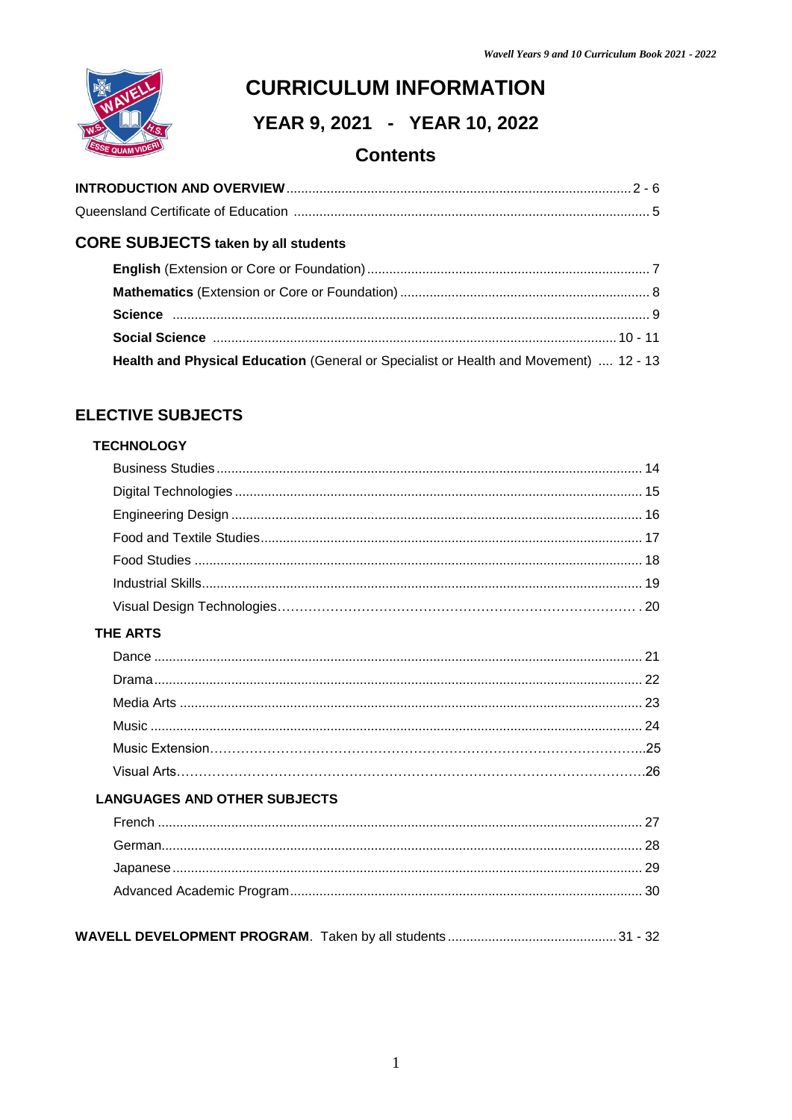

# **CURRICULUM INFORMATION**

YEAR 9, 2021 - YEAR 10, 2022

# **Contents**

# **CORE SUBJECTS taken by all students**

| Health and Physical Education (General or Specialist or Health and Movement)  12 - 13 |  |
|---------------------------------------------------------------------------------------|--|

# **ELECTIVE SUBJECTS**

# **TECHNOLOGY**

| <b>THE ARTS</b>                     |  |
|-------------------------------------|--|
|                                     |  |
|                                     |  |
|                                     |  |
|                                     |  |
|                                     |  |
|                                     |  |
| <b>LANGUAGES AND OTHER SUBJECTS</b> |  |
|                                     |  |
|                                     |  |
|                                     |  |
|                                     |  |
|                                     |  |
|                                     |  |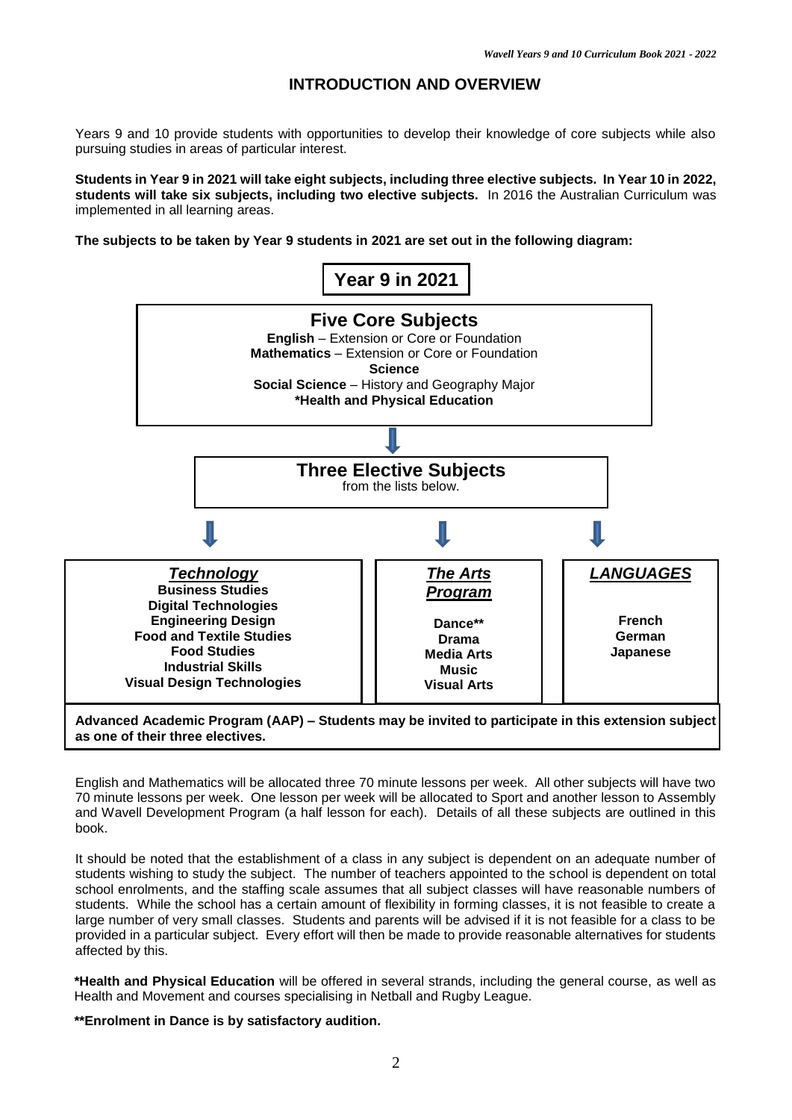### **INTRODUCTION AND OVERVIEW**

Years 9 and 10 provide students with opportunities to develop their knowledge of core subjects while also pursuing studies in areas of particular interest.

**Students in Year 9 in 2021 will take eight subjects, including three elective subjects. In Year 10 in 2022, students will take six subjects, including two elective subjects.** In 2016 the Australian Curriculum was implemented in all learning areas.

**The subjects to be taken by Year 9 students in 2021 are set out in the following diagram:**



**as one of their three electives.** 

English and Mathematics will be allocated three 70 minute lessons per week. All other subjects will have two 70 minute lessons per week. One lesson per week will be allocated to Sport and another lesson to Assembly and Wavell Development Program (a half lesson for each). Details of all these subjects are outlined in this book.

It should be noted that the establishment of a class in any subject is dependent on an adequate number of students wishing to study the subject. The number of teachers appointed to the school is dependent on total school enrolments, and the staffing scale assumes that all subject classes will have reasonable numbers of students. While the school has a certain amount of flexibility in forming classes, it is not feasible to create a large number of very small classes. Students and parents will be advised if it is not feasible for a class to be provided in a particular subject. Every effort will then be made to provide reasonable alternatives for students affected by this.

**\*Health and Physical Education** will be offered in several strands, including the general course, as well as Health and Movement and courses specialising in Netball and Rugby League.

**\*\*Enrolment in Dance is by satisfactory audition.**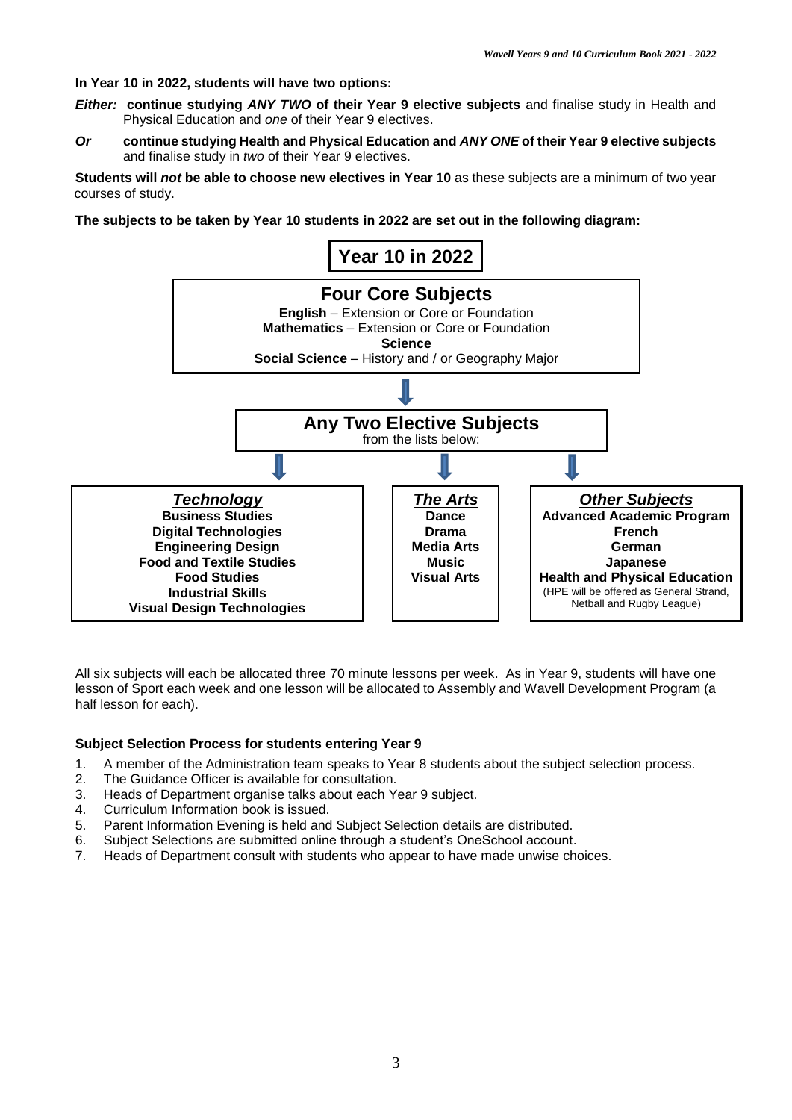### **In Year 10 in 2022, students will have two options:**

- *Either:* **continue studying** *ANY TWO* **of their Year 9 elective subjects** and finalise study in Health and Physical Education and *one* of their Year 9 electives.
- *Or* **continue studying Health and Physical Education and** *ANY ONE* **of their Year 9 elective subjects** and finalise study in *two* of their Year 9 electives.

**Students will** *not* **be able to choose new electives in Year 10** as these subjects are a minimum of two year courses of study.

**The subjects to be taken by Year 10 students in 2022 are set out in the following diagram:**



All six subjects will each be allocated three 70 minute lessons per week. As in Year 9, students will have one lesson of Sport each week and one lesson will be allocated to Assembly and Wavell Development Program (a half lesson for each).

#### **Subject Selection Process for students entering Year 9**

- 1. A member of the Administration team speaks to Year 8 students about the subject selection process.
- 2. The Guidance Officer is available for consultation.
- 3. Heads of Department organise talks about each Year 9 subject.
- 4. Curriculum Information book is issued.
- 5. Parent Information Evening is held and Subject Selection details are distributed.
- 6. Subject Selections are submitted online through a student's OneSchool account.
- 7. Heads of Department consult with students who appear to have made unwise choices.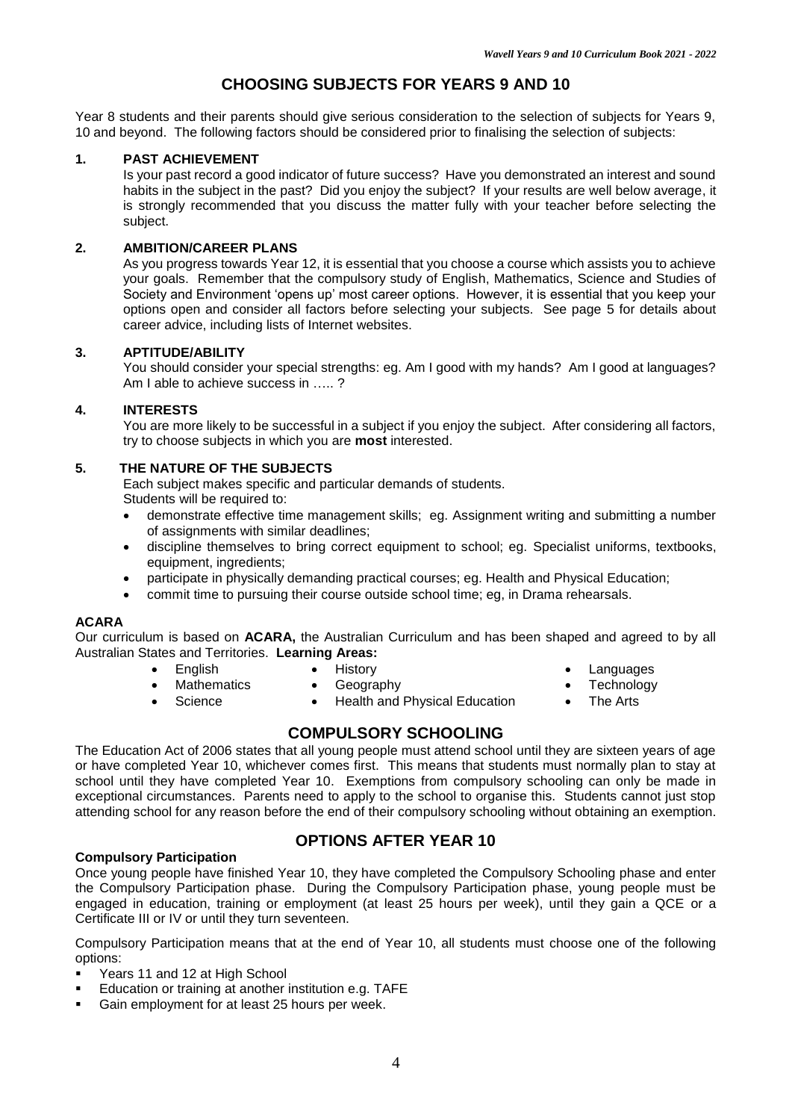# **CHOOSING SUBJECTS FOR YEARS 9 AND 10**

Year 8 students and their parents should give serious consideration to the selection of subjects for Years 9, 10 and beyond. The following factors should be considered prior to finalising the selection of subjects:

### **1. PAST ACHIEVEMENT**

Is your past record a good indicator of future success? Have you demonstrated an interest and sound habits in the subject in the past? Did you enjoy the subject? If your results are well below average, it is strongly recommended that you discuss the matter fully with your teacher before selecting the subject.

### **2. AMBITION/CAREER PLANS**

As you progress towards Year 12, it is essential that you choose a course which assists you to achieve your goals. Remember that the compulsory study of English, Mathematics, Science and Studies of Society and Environment 'opens up' most career options. However, it is essential that you keep your options open and consider all factors before selecting your subjects. See page 5 for details about career advice, including lists of Internet websites.

#### **3. APTITUDE/ABILITY**

You should consider your special strengths: eg. Am I good with my hands? Am I good at languages? Am I able to achieve success in ….. ?

#### **4. INTERESTS**

You are more likely to be successful in a subject if you enjoy the subject. After considering all factors, try to choose subjects in which you are **most** interested.

### **5. THE NATURE OF THE SUBJECTS**

Each subject makes specific and particular demands of students. Students will be required to:

- demonstrate effective time management skills; eg. Assignment writing and submitting a number of assignments with similar deadlines;
- discipline themselves to bring correct equipment to school; eg. Specialist uniforms, textbooks, equipment, ingredients;
- participate in physically demanding practical courses; eg. Health and Physical Education;
- commit time to pursuing their course outside school time; eg, in Drama rehearsals.

### **ACARA**

Our curriculum is based on **ACARA,** the Australian Curriculum and has been shaped and agreed to by all Australian States and Territories. **Learning Areas:**

- 
- English History Languages
	-
	-
- 
- Mathematics Geography Technology
	-
- 
- Science Health and Physical Education The Arts
- 

### **COMPULSORY SCHOOLING**

The Education Act of 2006 states that all young people must attend school until they are sixteen years of age or have completed Year 10, whichever comes first. This means that students must normally plan to stay at school until they have completed Year 10. Exemptions from compulsory schooling can only be made in exceptional circumstances. Parents need to apply to the school to organise this. Students cannot just stop attending school for any reason before the end of their compulsory schooling without obtaining an exemption.

#### **Compulsory Participation**

# **OPTIONS AFTER YEAR 10**

Once young people have finished Year 10, they have completed the Compulsory Schooling phase and enter the Compulsory Participation phase. During the Compulsory Participation phase, young people must be engaged in education, training or employment (at least 25 hours per week), until they gain a QCE or a Certificate III or IV or until they turn seventeen.

Compulsory Participation means that at the end of Year 10, all students must choose one of the following options:

- Years 11 and 12 at High School
- Education or training at another institution e.g. TAFE
- Gain employment for at least 25 hours per week.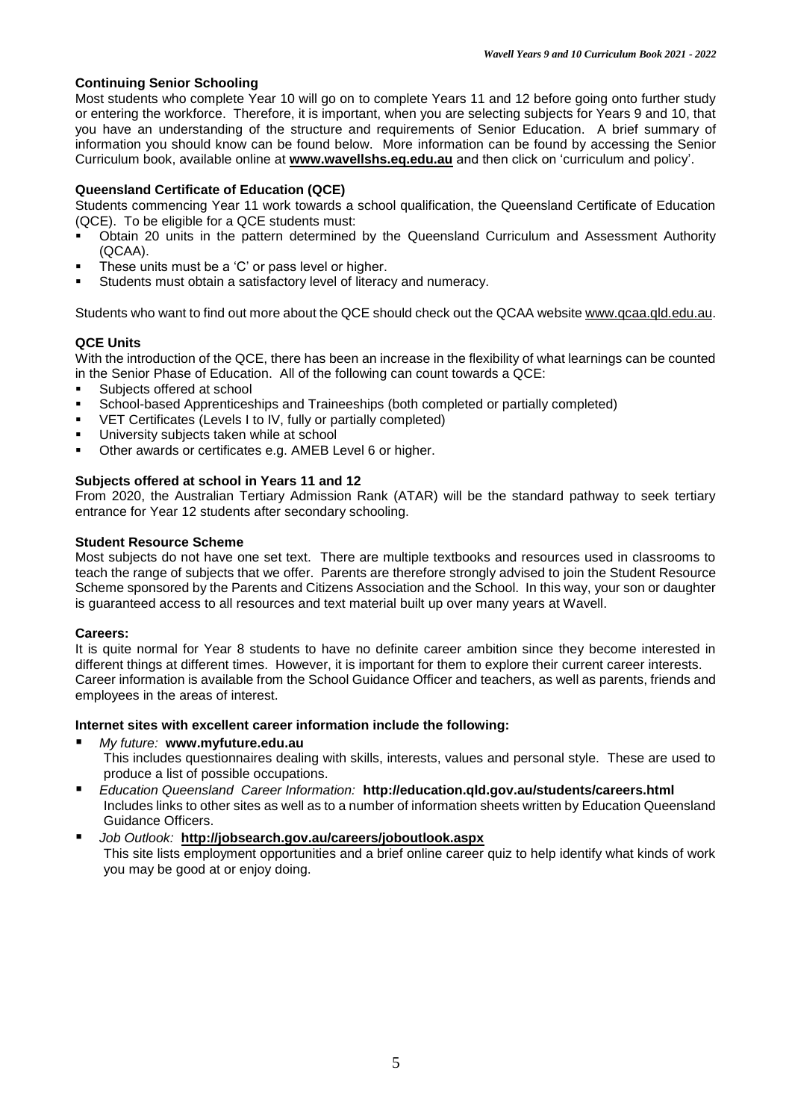### **Continuing Senior Schooling**

Most students who complete Year 10 will go on to complete Years 11 and 12 before going onto further study or entering the workforce. Therefore, it is important, when you are selecting subjects for Years 9 and 10, that you have an understanding of the structure and requirements of Senior Education. A brief summary of information you should know can be found below. More information can be found by accessing the Senior Curriculum book, available online at **[www.wavellshs.eq.edu.au](http://www.wavellshs.eq.edu.au/)** and then click on 'curriculum and policy'.

### **Queensland Certificate of Education (QCE)**

Students commencing Year 11 work towards a school qualification, the Queensland Certificate of Education (QCE). To be eligible for a QCE students must:

- Obtain 20 units in the pattern determined by the Queensland Curriculum and Assessment Authority (QCAA).
- These units must be a 'C' or pass level or higher.
- Students must obtain a satisfactory level of literacy and numeracy.

Students who want to find out more about the QCE should check out the QCAA website [www.qcaa.qld.edu.au.](http://www.qcaa.qld.edu.au/)

### **QCE Units**

With the introduction of the QCE, there has been an increase in the flexibility of what learnings can be counted in the Senior Phase of Education. All of the following can count towards a QCE:

- **Subjects offered at school**<br> **School-based Apprentices**
- School-based Apprenticeships and Traineeships (both completed or partially completed)
- VET Certificates (Levels I to IV, fully or partially completed)
- University subjects taken while at school
- Other awards or certificates e.g. AMEB Level 6 or higher.

### **Subjects offered at school in Years 11 and 12**

From 2020, the Australian Tertiary Admission Rank (ATAR) will be the standard pathway to seek tertiary entrance for Year 12 students after secondary schooling.

### **Student Resource Scheme**

Most subjects do not have one set text. There are multiple textbooks and resources used in classrooms to teach the range of subjects that we offer. Parents are therefore strongly advised to join the Student Resource Scheme sponsored by the Parents and Citizens Association and the School. In this way, your son or daughter is guaranteed access to all resources and text material built up over many years at Wavell.

### **Careers:**

It is quite normal for Year 8 students to have no definite career ambition since they become interested in different things at different times. However, it is important for them to explore their current career interests. Career information is available from the School Guidance Officer and teachers, as well as parents, friends and employees in the areas of interest.

### **Internet sites with excellent career information include the following:**

- *My future:* **[www.myfuture.edu.](http://www.myfuture.edu/)au** This includes questionnaires dealing with skills, interests, values and personal style. These are used to produce a list of possible occupations.
- *Education Queensland Career Information:* **<http://education.qld.gov.au/students/careers.html>** Includes links to other sites as well as to a number of information sheets written by Education Queensland Guidance Officers.
- *Job Outlook:* **<http://jobsearch.gov.au/careers/joboutlook.aspx>** This site lists employment opportunities and a brief online career quiz to help identify what kinds of work you may be good at or enjoy doing.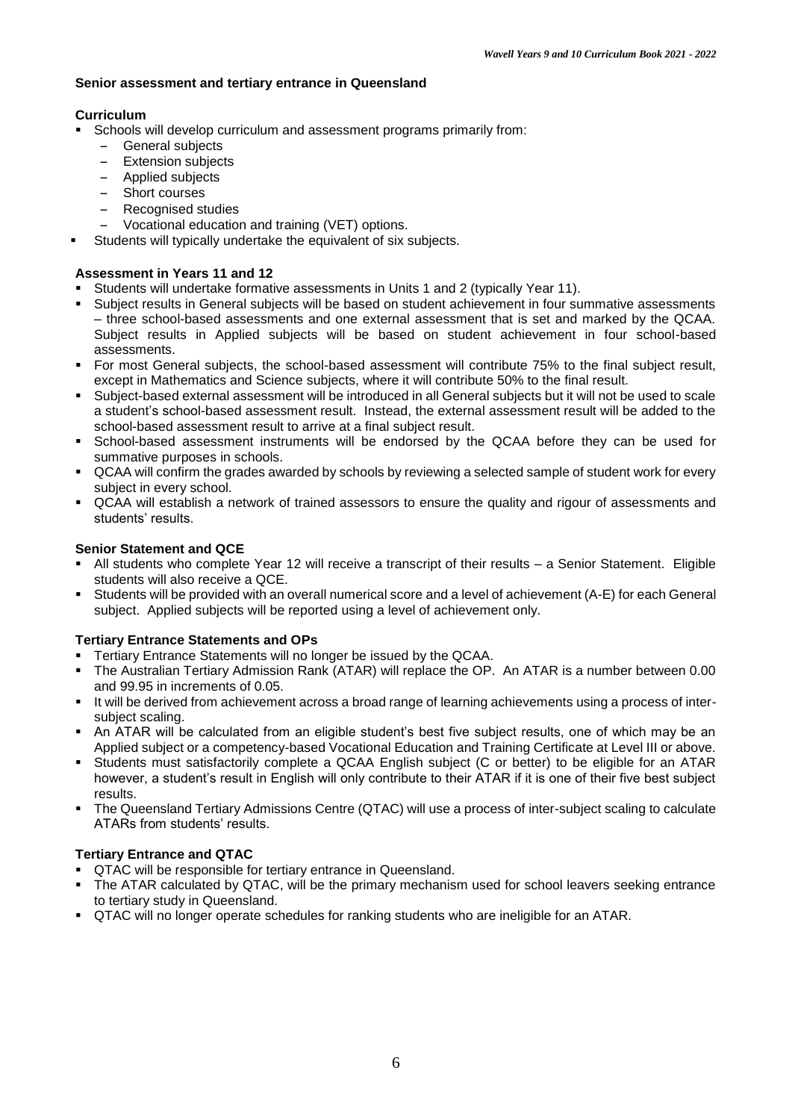### **Senior assessment and tertiary entrance in Queensland**

### **Curriculum**

- Schools will develop curriculum and assessment programs primarily from:
	- General subjects<br>- Extension subiect
	- Extension subjects
	- Applied subjects
	- Short courses
	- Recognised studies
	- Vocational education and training (VET) options.
- Students will typically undertake the equivalent of six subjects.

### **Assessment in Years 11 and 12**

- Students will undertake formative assessments in Units 1 and 2 (typically Year 11).
- Subject results in General subjects will be based on student achievement in four summative assessments – three school-based assessments and one external assessment that is set and marked by the QCAA. Subject results in Applied subjects will be based on student achievement in four school-based assessments.
- For most General subjects, the school-based assessment will contribute 75% to the final subject result, except in Mathematics and Science subjects, where it will contribute 50% to the final result.
- Subject-based external assessment will be introduced in all General subjects but it will not be used to scale a student's school-based assessment result. Instead, the external assessment result will be added to the school-based assessment result to arrive at a final subject result.
- School-based assessment instruments will be endorsed by the QCAA before they can be used for summative purposes in schools.
- QCAA will confirm the grades awarded by schools by reviewing a selected sample of student work for every subject in every school.
- QCAA will establish a network of trained assessors to ensure the quality and rigour of assessments and students' results.

### **Senior Statement and QCE**

- All students who complete Year 12 will receive a transcript of their results a Senior Statement. Eligible students will also receive a QCE.
- Students will be provided with an overall numerical score and a level of achievement (A-E) for each General subject. Applied subjects will be reported using a level of achievement only.

### **Tertiary Entrance Statements and OPs**

- **Tertiary Entrance Statements will no longer be issued by the QCAA.**
- The Australian Tertiary Admission Rank (ATAR) will replace the OP. An ATAR is a number between 0.00 and 99.95 in increments of 0.05.
- It will be derived from achievement across a broad range of learning achievements using a process of intersubject scaling.
- An ATAR will be calculated from an eligible student's best five subject results, one of which may be an Applied subject or a competency-based Vocational Education and Training Certificate at Level III or above.
- Students must satisfactorily complete a QCAA English subject (C or better) to be eligible for an ATAR however, a student's result in English will only contribute to their ATAR if it is one of their five best subject results.
- The Queensland Tertiary Admissions Centre (QTAC) will use a process of inter-subject scaling to calculate ATARs from students' results.

### **Tertiary Entrance and QTAC**

- QTAC will be responsible for tertiary entrance in Queensland.
- The ATAR calculated by QTAC, will be the primary mechanism used for school leavers seeking entrance to tertiary study in Queensland.
- QTAC will no longer operate schedules for ranking students who are ineligible for an ATAR.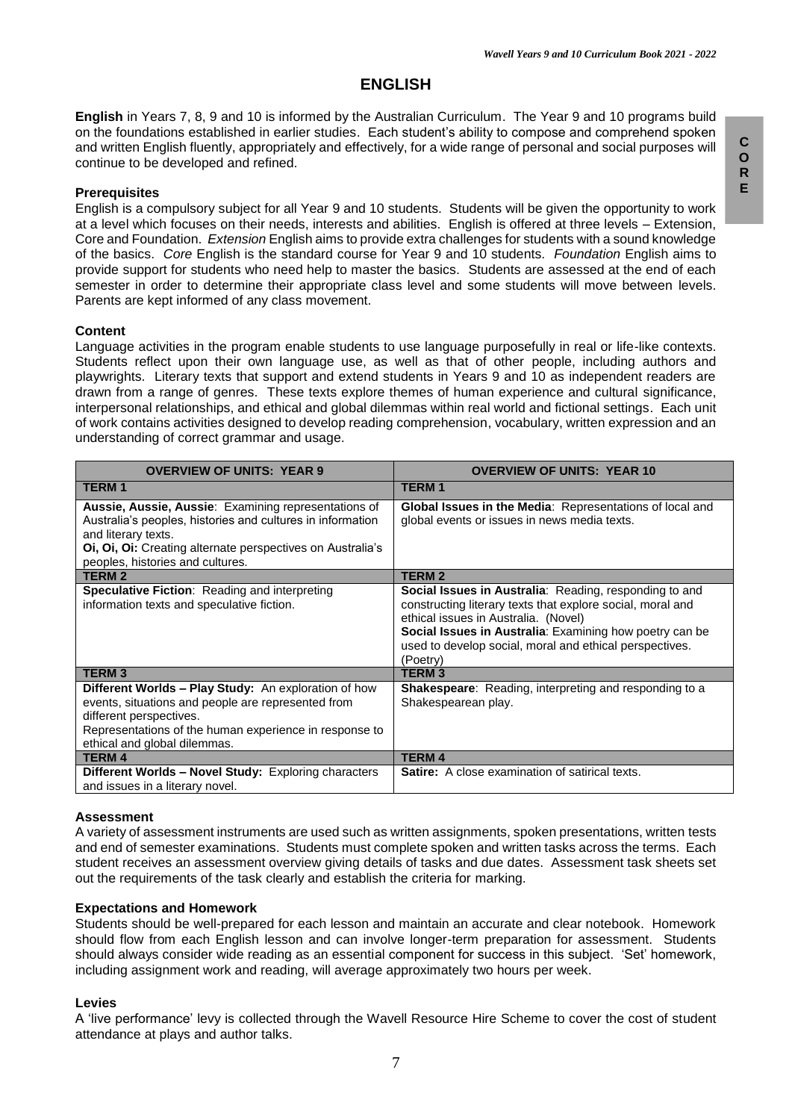# **ENGLISH**

**English** in Years 7, 8, 9 and 10 is informed by the Australian Curriculum. The Year 9 and 10 programs build on the foundations established in earlier studies. Each student's ability to compose and comprehend spoken and written English fluently, appropriately and effectively, for a wide range of personal and social purposes will continue to be developed and refined.

#### **Prerequisites**

English is a compulsory subject for all Year 9 and 10 students. Students will be given the opportunity to work at a level which focuses on their needs, interests and abilities. English is offered at three levels – Extension, Core and Foundation. *Extension* English aims to provide extra challenges for students with a sound knowledge of the basics. *Core* English is the standard course for Year 9 and 10 students. *Foundation* English aims to provide support for students who need help to master the basics. Students are assessed at the end of each semester in order to determine their appropriate class level and some students will move between levels. Parents are kept informed of any class movement.

#### **Content**

Language activities in the program enable students to use language purposefully in real or life-like contexts. Students reflect upon their own language use, as well as that of other people, including authors and playwrights. Literary texts that support and extend students in Years 9 and 10 as independent readers are drawn from a range of genres. These texts explore themes of human experience and cultural significance, interpersonal relationships, and ethical and global dilemmas within real world and fictional settings. Each unit of work contains activities designed to develop reading comprehension, vocabulary, written expression and an understanding of correct grammar and usage.

| <b>OVERVIEW OF UNITS: YEAR 9</b>                                                                                                                                                                                                            | <b>OVERVIEW OF UNITS: YEAR 10</b>                                                                                                                                                                                                                                                                     |  |
|---------------------------------------------------------------------------------------------------------------------------------------------------------------------------------------------------------------------------------------------|-------------------------------------------------------------------------------------------------------------------------------------------------------------------------------------------------------------------------------------------------------------------------------------------------------|--|
| <b>TERM1</b>                                                                                                                                                                                                                                | <b>TERM1</b>                                                                                                                                                                                                                                                                                          |  |
| Aussie, Aussie, Aussie: Examining representations of<br>Australia's peoples, histories and cultures in information<br>and literary texts.<br>Oi, Oi, Oi: Creating alternate perspectives on Australia's<br>peoples, histories and cultures. | <b>Global Issues in the Media: Representations of local and</b><br>global events or issues in news media texts.                                                                                                                                                                                       |  |
| <b>TERM2</b>                                                                                                                                                                                                                                | <b>TERM 2</b>                                                                                                                                                                                                                                                                                         |  |
| <b>Speculative Fiction:</b> Reading and interpreting<br>information texts and speculative fiction.                                                                                                                                          | <b>Social Issues in Australia: Reading, responding to and</b><br>constructing literary texts that explore social, moral and<br>ethical issues in Australia. (Novel)<br>Social Issues in Australia: Examining how poetry can be<br>used to develop social, moral and ethical perspectives.<br>(Poetry) |  |
| <b>TERM3</b>                                                                                                                                                                                                                                | <b>TERM3</b>                                                                                                                                                                                                                                                                                          |  |
| Different Worlds - Play Study: An exploration of how<br>events, situations and people are represented from<br>different perspectives.<br>Representations of the human experience in response to<br>ethical and global dilemmas.             | <b>Shakespeare:</b> Reading, interpreting and responding to a<br>Shakespearean play.                                                                                                                                                                                                                  |  |
| <b>TERM4</b>                                                                                                                                                                                                                                | <b>TERM4</b>                                                                                                                                                                                                                                                                                          |  |
| Different Worlds - Novel Study: Exploring characters<br>and issues in a literary novel.                                                                                                                                                     | <b>Satire:</b> A close examination of satirical texts.                                                                                                                                                                                                                                                |  |

#### **Assessment**

A variety of assessment instruments are used such as written assignments, spoken presentations, written tests and end of semester examinations. Students must complete spoken and written tasks across the terms. Each student receives an assessment overview giving details of tasks and due dates. Assessment task sheets set out the requirements of the task clearly and establish the criteria for marking.

#### **Expectations and Homework**

Students should be well-prepared for each lesson and maintain an accurate and clear notebook. Homework should flow from each English lesson and can involve longer-term preparation for assessment. Students should always consider wide reading as an essential component for success in this subject. 'Set' homework, including assignment work and reading, will average approximately two hours per week.

#### **Levies**

A 'live performance' levy is collected through the Wavell Resource Hire Scheme to cover the cost of student attendance at plays and author talks.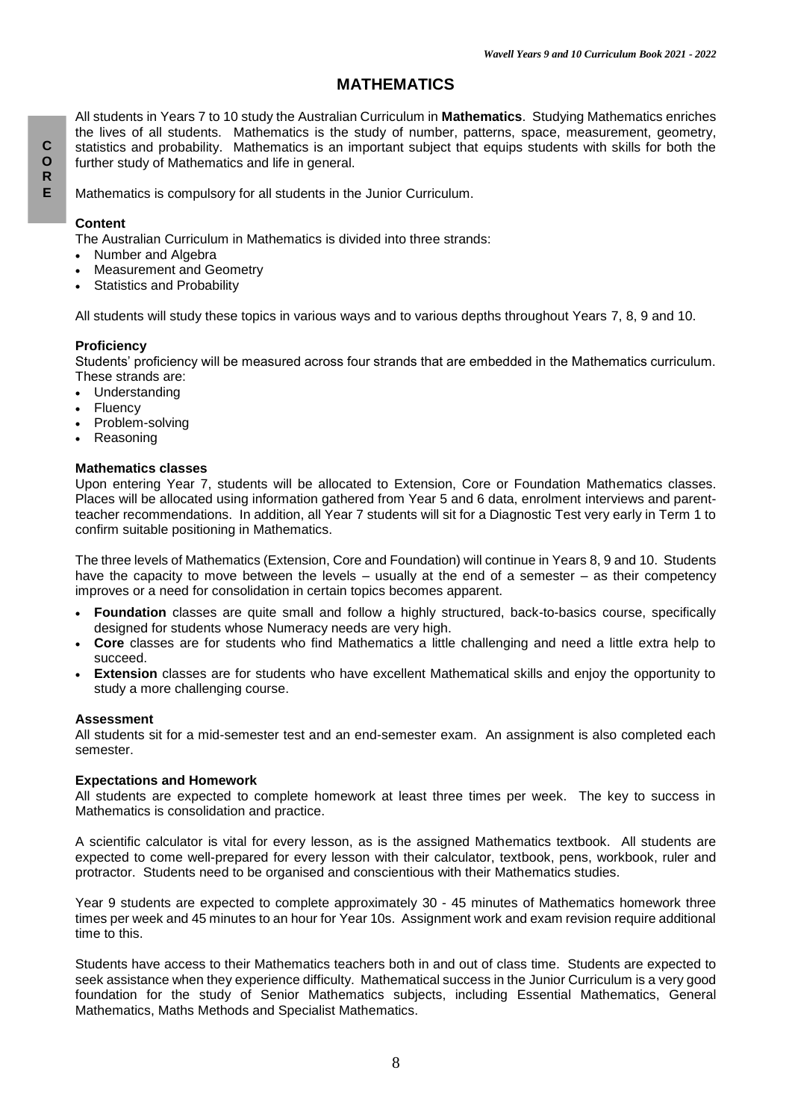# **MATHEMATICS**

All students in Years 7 to 10 study the Australian Curriculum in **Mathematics**. Studying Mathematics enriches the lives of all students. Mathematics is the study of number, patterns, space, measurement, geometry, statistics and probability. Mathematics is an important subject that equips students with skills for both the further study of Mathematics and life in general.

Mathematics is compulsory for all students in the Junior Curriculum.

### **Content**

The Australian Curriculum in Mathematics is divided into three strands:

- Number and Algebra
- Measurement and Geometry
- Statistics and Probability

All students will study these topics in various ways and to various depths throughout Years 7, 8, 9 and 10.

### **Proficiency**

Students' proficiency will be measured across four strands that are embedded in the Mathematics curriculum. These strands are:

- Understanding
- Fluency
- Problem-solving
- Reasoning

#### **Mathematics classes**

Upon entering Year 7, students will be allocated to Extension, Core or Foundation Mathematics classes. Places will be allocated using information gathered from Year 5 and 6 data, enrolment interviews and parentteacher recommendations. In addition, all Year 7 students will sit for a Diagnostic Test very early in Term 1 to confirm suitable positioning in Mathematics.

The three levels of Mathematics (Extension, Core and Foundation) will continue in Years 8, 9 and 10. Students have the capacity to move between the levels – usually at the end of a semester – as their competency improves or a need for consolidation in certain topics becomes apparent.

- **Foundation** classes are quite small and follow a highly structured, back-to-basics course, specifically designed for students whose Numeracy needs are very high.
- **Core** classes are for students who find Mathematics a little challenging and need a little extra help to succeed.
- **Extension** classes are for students who have excellent Mathematical skills and enjoy the opportunity to study a more challenging course.

#### **Assessment**

All students sit for a mid-semester test and an end-semester exam. An assignment is also completed each semester.

#### **Expectations and Homework**

All students are expected to complete homework at least three times per week. The key to success in Mathematics is consolidation and practice.

A scientific calculator is vital for every lesson, as is the assigned Mathematics textbook. All students are expected to come well-prepared for every lesson with their calculator, textbook, pens, workbook, ruler and protractor. Students need to be organised and conscientious with their Mathematics studies.

Year 9 students are expected to complete approximately 30 - 45 minutes of Mathematics homework three times per week and 45 minutes to an hour for Year 10s. Assignment work and exam revision require additional time to this.

Students have access to their Mathematics teachers both in and out of class time. Students are expected to seek assistance when they experience difficulty. Mathematical success in the Junior Curriculum is a very good foundation for the study of Senior Mathematics subjects, including Essential Mathematics, General Mathematics, Maths Methods and Specialist Mathematics.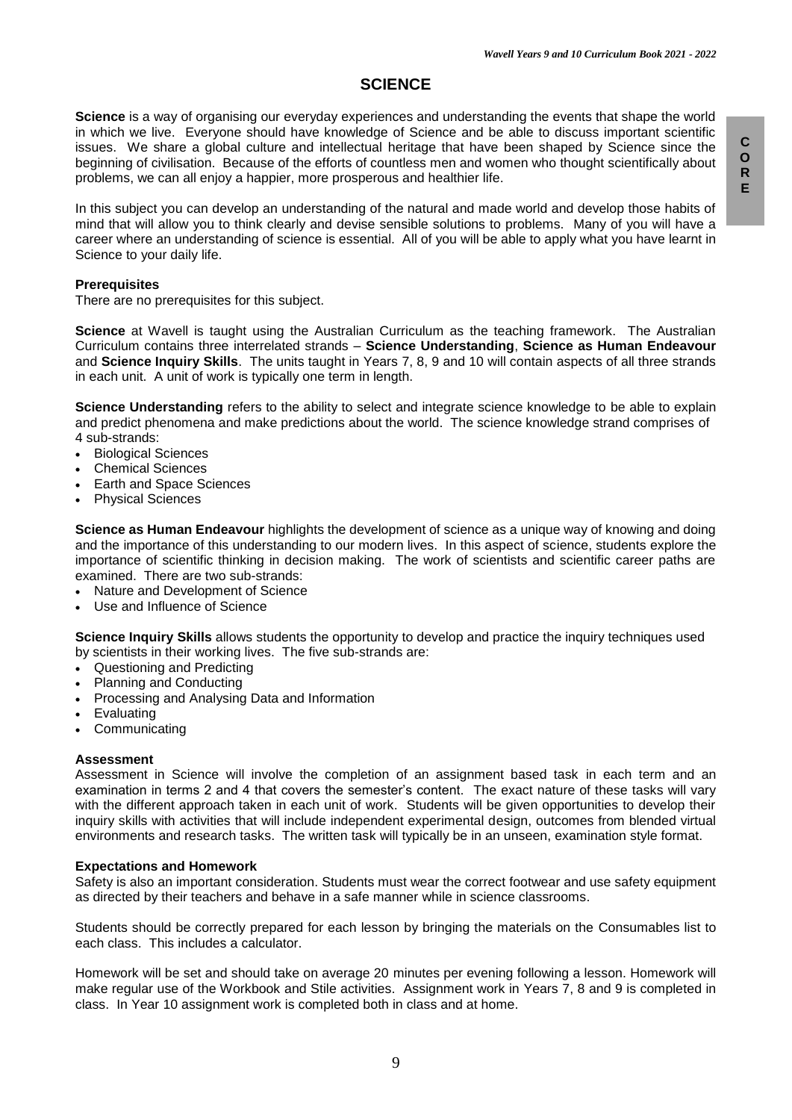# **SCIENCE**

**Science** is a way of organising our everyday experiences and understanding the events that shape the world in which we live. Everyone should have knowledge of Science and be able to discuss important scientific issues. We share a global culture and intellectual heritage that have been shaped by Science since the beginning of civilisation. Because of the efforts of countless men and women who thought scientifically about problems, we can all enjoy a happier, more prosperous and healthier life.

In this subject you can develop an understanding of the natural and made world and develop those habits of mind that will allow you to think clearly and devise sensible solutions to problems. Many of you will have a career where an understanding of science is essential. All of you will be able to apply what you have learnt in Science to your daily life.

#### **Prerequisites**

There are no prerequisites for this subject.

**Science** at Wavell is taught using the Australian Curriculum as the teaching framework. The Australian Curriculum contains three interrelated strands – **Science Understanding**, **Science as Human Endeavour** and **Science Inquiry Skills**. The units taught in Years 7, 8, 9 and 10 will contain aspects of all three strands in each unit. A unit of work is typically one term in length.

**Science Understanding** refers to the ability to select and integrate science knowledge to be able to explain and predict phenomena and make predictions about the world. The science knowledge strand comprises of 4 sub-strands:

- Biological Sciences
- Chemical Sciences
- Earth and Space Sciences
- Physical Sciences

**Science as Human Endeavour** highlights the development of science as a unique way of knowing and doing and the importance of this understanding to our modern lives. In this aspect of science, students explore the importance of scientific thinking in decision making. The work of scientists and scientific career paths are examined. There are two sub-strands:

- Nature and Development of Science
- Use and Influence of Science

**Science Inquiry Skills** allows students the opportunity to develop and practice the inquiry techniques used by scientists in their working lives. The five sub-strands are:

- Questioning and Predicting
- Planning and Conducting
- Processing and Analysing Data and Information
- Evaluating
- **Communicating**

#### **Assessment**

Assessment in Science will involve the completion of an assignment based task in each term and an examination in terms 2 and 4 that covers the semester's content. The exact nature of these tasks will vary with the different approach taken in each unit of work. Students will be given opportunities to develop their inquiry skills with activities that will include independent experimental design, outcomes from blended virtual environments and research tasks. The written task will typically be in an unseen, examination style format.

#### **Expectations and Homework**

Safety is also an important consideration. Students must wear the correct footwear and use safety equipment as directed by their teachers and behave in a safe manner while in science classrooms.

Students should be correctly prepared for each lesson by bringing the materials on the Consumables list to each class. This includes a calculator.

Homework will be set and should take on average 20 minutes per evening following a lesson. Homework will make regular use of the Workbook and Stile activities. Assignment work in Years 7, 8 and 9 is completed in class. In Year 10 assignment work is completed both in class and at home.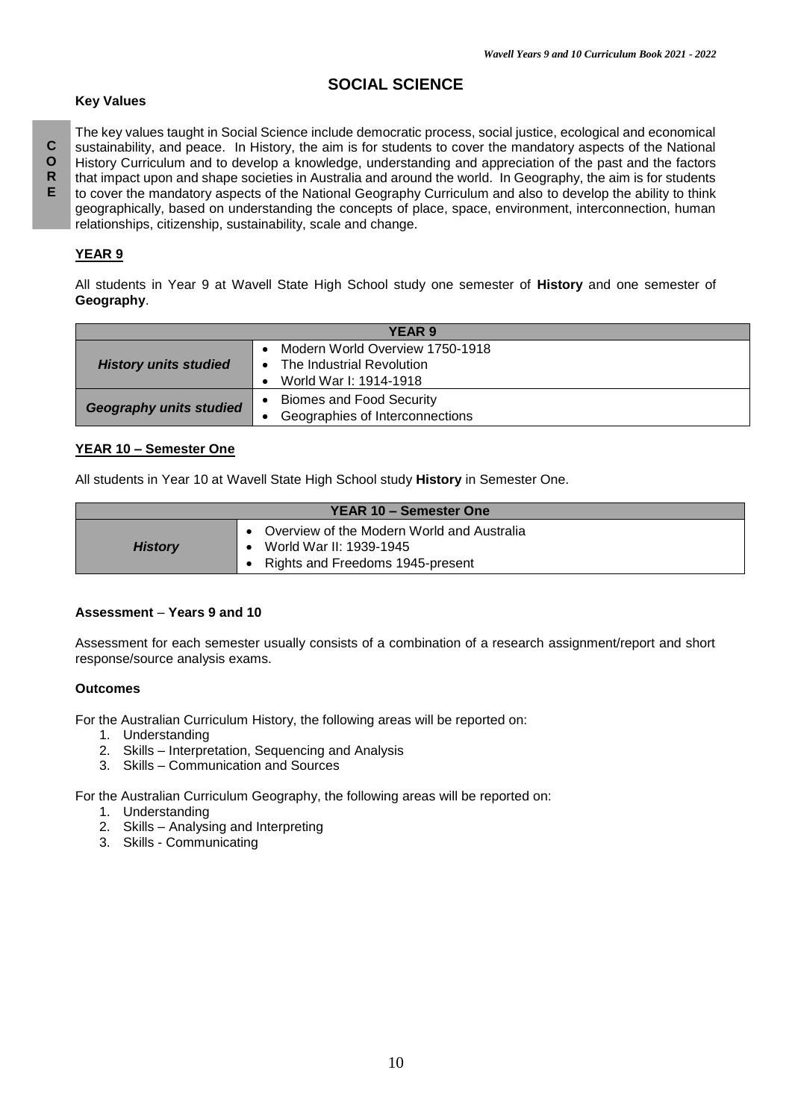# **SOCIAL SCIENCE**

# **Key Values**

The key values taught in Social Science include democratic process, social justice, ecological and economical sustainability, and peace. In History, the aim is for students to cover the mandatory aspects of the National History Curriculum and to develop a knowledge, understanding and appreciation of the past and the factors that impact upon and shape societies in Australia and around the world. In Geography, the aim is for students to cover the mandatory aspects of the National Geography Curriculum and also to develop the ability to think geographically, based on understanding the concepts of place, space, environment, interconnection, human relationships, citizenship, sustainability, scale and change.

# **YEAR 9**

All students in Year 9 at Wavell State High School study one semester of **History** and one semester of **Geography**.

| YEAR 9                         |                                        |  |  |
|--------------------------------|----------------------------------------|--|--|
|                                | Modern World Overview 1750-1918        |  |  |
| <b>History units studied</b>   | The Industrial Revolution<br>$\bullet$ |  |  |
|                                | World War I: 1914-1918                 |  |  |
| <b>Geography units studied</b> | <b>Biomes and Food Security</b>        |  |  |
|                                | Geographies of Interconnections        |  |  |

### **YEAR 10 – Semester One**

All students in Year 10 at Wavell State High School study **History** in Semester One.

| YEAR 10 - Semester One |                                                                                                           |  |  |
|------------------------|-----------------------------------------------------------------------------------------------------------|--|--|
| <b>History</b>         | Overview of the Modern World and Australia<br>World War II: 1939-1945<br>Rights and Freedoms 1945-present |  |  |

### **Assessment** – **Years 9 and 10**

Assessment for each semester usually consists of a combination of a research assignment/report and short response/source analysis exams.

### **Outcomes**

For the Australian Curriculum History, the following areas will be reported on:

- 1. Understanding
- 2. Skills Interpretation, Sequencing and Analysis
- 3. Skills Communication and Sources

For the Australian Curriculum Geography, the following areas will be reported on:

- 1. Understanding
- 2. Skills Analysing and Interpreting
- 3. Skills Communicating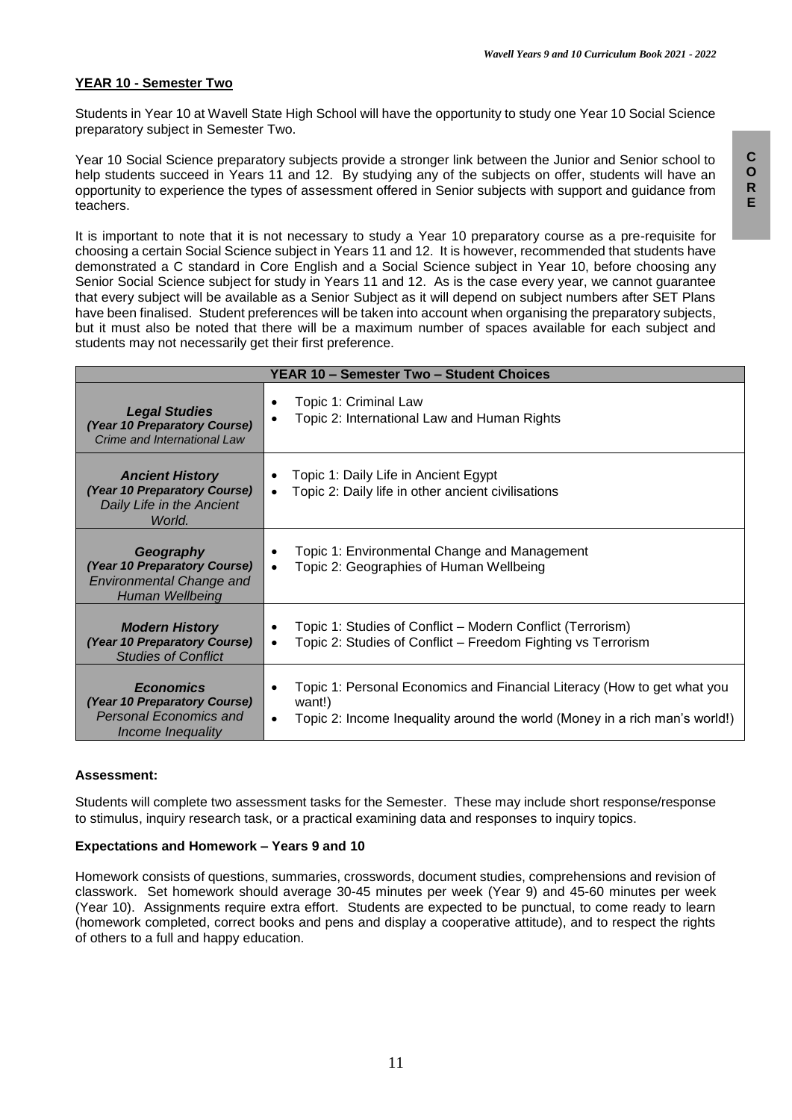### **YEAR 10 - Semester Two**

Students in Year 10 at Wavell State High School will have the opportunity to study one Year 10 Social Science preparatory subject in Semester Two.

Year 10 Social Science preparatory subjects provide a stronger link between the Junior and Senior school to help students succeed in Years 11 and 12. By studying any of the subjects on offer, students will have an opportunity to experience the types of assessment offered in Senior subjects with support and guidance from teachers.

It is important to note that it is not necessary to study a Year 10 preparatory course as a pre-requisite for choosing a certain Social Science subject in Years 11 and 12. It is however, recommended that students have demonstrated a C standard in Core English and a Social Science subject in Year 10, before choosing any Senior Social Science subject for study in Years 11 and 12. As is the case every year, we cannot guarantee that every subject will be available as a Senior Subject as it will depend on subject numbers after SET Plans have been finalised. Student preferences will be taken into account when organising the preparatory subjects, but it must also be noted that there will be a maximum number of spaces available for each subject and students may not necessarily get their first preference.

| YEAR 10 - Semester Two - Student Choices                                                                      |                                                                                                                                                                                   |  |  |
|---------------------------------------------------------------------------------------------------------------|-----------------------------------------------------------------------------------------------------------------------------------------------------------------------------------|--|--|
| <b>Legal Studies</b><br>(Year 10 Preparatory Course)<br>Crime and International Law                           | Topic 1: Criminal Law<br>٠<br>Topic 2: International Law and Human Rights<br>$\bullet$                                                                                            |  |  |
| <b>Ancient History</b><br>(Year 10 Preparatory Course)<br>Daily Life in the Ancient<br>World.                 | Topic 1: Daily Life in Ancient Egypt<br>Topic 2: Daily life in other ancient civilisations<br>$\bullet$                                                                           |  |  |
| Geography<br>(Year 10 Preparatory Course)<br><b>Environmental Change and</b><br>Human Wellbeing               | Topic 1: Environmental Change and Management<br>Topic 2: Geographies of Human Wellbeing<br>$\bullet$                                                                              |  |  |
| <b>Modern History</b><br>(Year 10 Preparatory Course)<br><b>Studies of Conflict</b>                           | Topic 1: Studies of Conflict – Modern Conflict (Terrorism)<br>Topic 2: Studies of Conflict – Freedom Fighting vs Terrorism<br>$\bullet$                                           |  |  |
| <b>Economics</b><br>(Year 10 Preparatory Course)<br><b>Personal Economics and</b><br><i>Income Inequality</i> | Topic 1: Personal Economics and Financial Literacy (How to get what you<br>٠<br>want!)<br>Topic 2: Income Inequality around the world (Money in a rich man's world!)<br>$\bullet$ |  |  |

#### **Assessment:**

Students will complete two assessment tasks for the Semester. These may include short response/response to stimulus, inquiry research task, or a practical examining data and responses to inquiry topics.

#### **Expectations and Homework – Years 9 and 10**

Homework consists of questions, summaries, crosswords, document studies, comprehensions and revision of classwork. Set homework should average 30-45 minutes per week (Year 9) and 45-60 minutes per week (Year 10). Assignments require extra effort. Students are expected to be punctual, to come ready to learn (homework completed, correct books and pens and display a cooperative attitude), and to respect the rights of others to a full and happy education.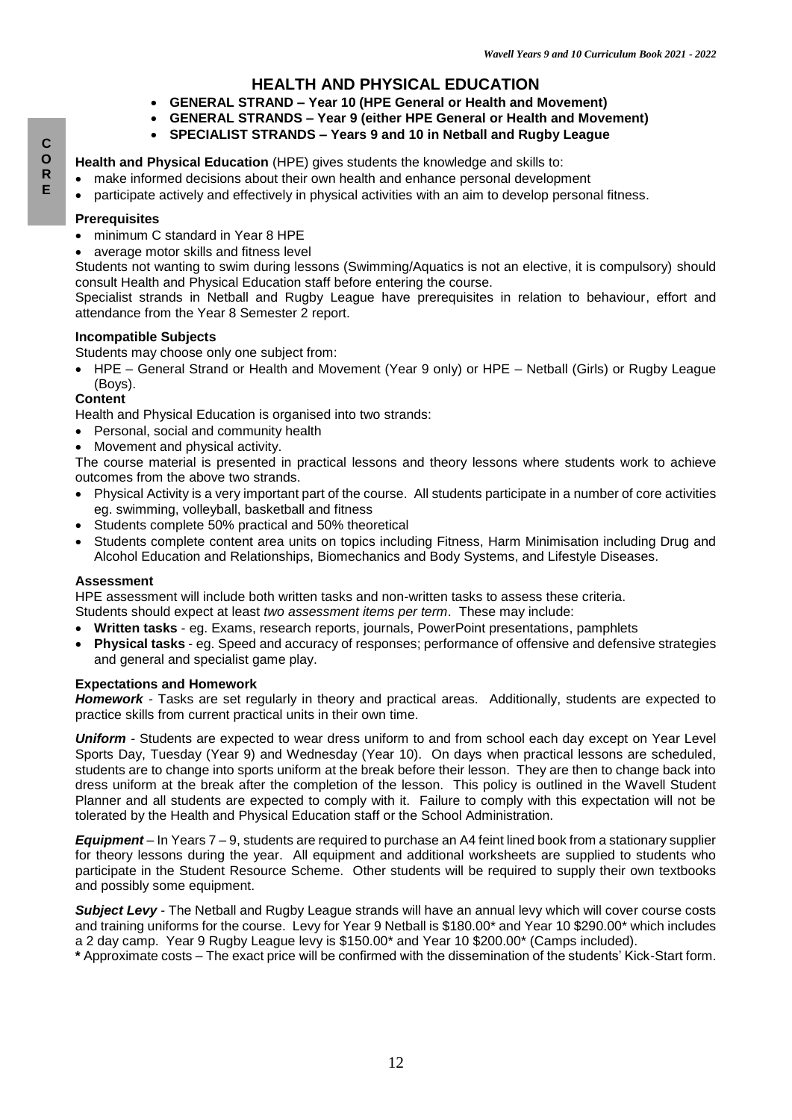# **HEALTH AND PHYSICAL EDUCATION**

- **GENERAL STRAND – Year 10 (HPE General or Health and Movement)**
- **GENERAL STRANDS – Year 9 (either HPE General or Health and Movement)**

## **SPECIALIST STRANDS – Years 9 and 10 in Netball and Rugby League**

### **Health and Physical Education** (HPE) gives students the knowledge and skills to:

- make informed decisions about their own health and enhance personal development
- participate actively and effectively in physical activities with an aim to develop personal fitness.

### **Prerequisites**

- minimum C standard in Year 8 HPE
- average motor skills and fitness level

Students not wanting to swim during lessons (Swimming/Aquatics is not an elective, it is compulsory) should consult Health and Physical Education staff before entering the course.

Specialist strands in Netball and Rugby League have prerequisites in relation to behaviour, effort and attendance from the Year 8 Semester 2 report.

### **Incompatible Subjects**

Students may choose only one subject from:

 HPE – General Strand or Health and Movement (Year 9 only) or HPE – Netball (Girls) or Rugby League (Boys).

### **Content**

Health and Physical Education is organised into two strands:

- Personal, social and community health
- Movement and physical activity.

The course material is presented in practical lessons and theory lessons where students work to achieve outcomes from the above two strands.

- Physical Activity is a very important part of the course. All students participate in a number of core activities eg. swimming, volleyball, basketball and fitness
- Students complete 50% practical and 50% theoretical
- Students complete content area units on topics including Fitness, Harm Minimisation including Drug and Alcohol Education and Relationships, Biomechanics and Body Systems, and Lifestyle Diseases.

### **Assessment**

HPE assessment will include both written tasks and non-written tasks to assess these criteria.

Students should expect at least *two assessment items per term*. These may include:

- **Written tasks** eg. Exams, research reports, journals, PowerPoint presentations, pamphlets
- **Physical tasks** eg. Speed and accuracy of responses; performance of offensive and defensive strategies and general and specialist game play.

### **Expectations and Homework**

*Homework -* Tasks are set regularly in theory and practical areas. Additionally, students are expected to practice skills from current practical units in their own time.

*Uniform -* Students are expected to wear dress uniform to and from school each day except on Year Level Sports Day, Tuesday (Year 9) and Wednesday (Year 10). On days when practical lessons are scheduled, students are to change into sports uniform at the break before their lesson. They are then to change back into dress uniform at the break after the completion of the lesson. This policy is outlined in the Wavell Student Planner and all students are expected to comply with it. Failure to comply with this expectation will not be tolerated by the Health and Physical Education staff or the School Administration.

*Equipment –* In Years 7 – 9, students are required to purchase an A4 feint lined book from a stationary supplier for theory lessons during the year. All equipment and additional worksheets are supplied to students who participate in the Student Resource Scheme. Other students will be required to supply their own textbooks and possibly some equipment.

*Subject Levy -* The Netball and Rugby League strands will have an annual levy which will cover course costs and training uniforms for the course. Levy for Year 9 Netball is \$180.00\* and Year 10 \$290.00\* which includes a 2 day camp. Year 9 Rugby League levy is \$150.00\* and Year 10 \$200.00\* (Camps included).

**\*** Approximate costs – The exact price will be confirmed with the dissemination of the students' Kick-Start form.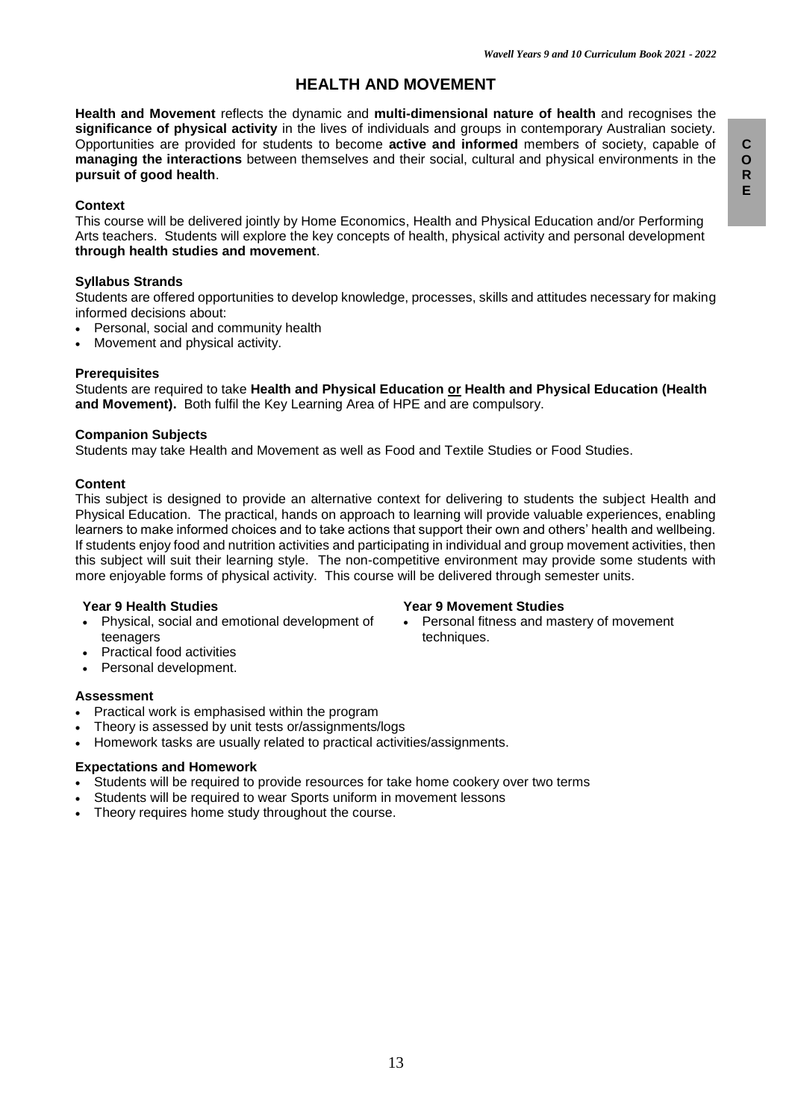# **HEALTH AND MOVEMENT**

**Health and Movement** reflects the dynamic and **multi-dimensional nature of health** and recognises the **significance of physical activity** in the lives of individuals and groups in contemporary Australian society. Opportunities are provided for students to become **active and informed** members of society, capable of **managing the interactions** between themselves and their social, cultural and physical environments in the **pursuit of good health**.

#### **Context**

This course will be delivered jointly by Home Economics, Health and Physical Education and/or Performing Arts teachers. Students will explore the key concepts of health, physical activity and personal development **through health studies and movement**.

#### **Syllabus Strands**

Students are offered opportunities to develop knowledge, processes, skills and attitudes necessary for making informed decisions about:

- Personal, social and community health
- Movement and physical activity.

#### **Prerequisites**

Students are required to take **Health and Physical Education or Health and Physical Education (Health and Movement).** Both fulfil the Key Learning Area of HPE and are compulsory.

### **Companion Subjects**

Students may take Health and Movement as well as Food and Textile Studies or Food Studies.

#### **Content**

This subject is designed to provide an alternative context for delivering to students the subject Health and Physical Education. The practical, hands on approach to learning will provide valuable experiences, enabling learners to make informed choices and to take actions that support their own and others' health and wellbeing. If students enjoy food and nutrition activities and participating in individual and group movement activities, then this subject will suit their learning style. The non-competitive environment may provide some students with more enjoyable forms of physical activity. This course will be delivered through semester units.

#### **Year 9 Health Studies**

- Physical, social and emotional development of teenagers
- Practical food activities
- Personal development.

#### **Assessment**

- Practical work is emphasised within the program
- Theory is assessed by unit tests or/assignments/logs
- Homework tasks are usually related to practical activities/assignments.

### **Expectations and Homework**

- Students will be required to provide resources for take home cookery over two terms
- Students will be required to wear Sports uniform in movement lessons
- Theory requires home study throughout the course.

techniques.

**Year 9 Movement Studies**

Personal fitness and mastery of movement

13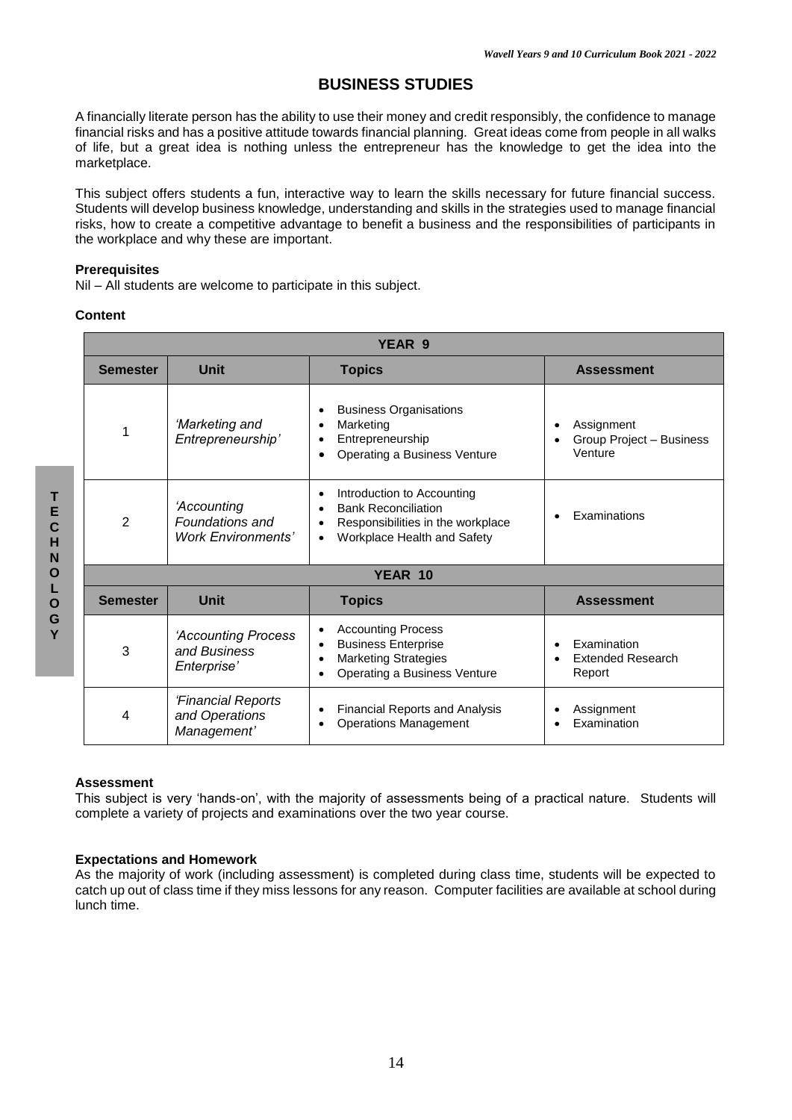# **BUSINESS STUDIES**

A financially literate person has the ability to use their money and credit responsibly, the confidence to manage financial risks and has a positive attitude towards financial planning. Great ideas come from people in all walks of life, but a great idea is nothing unless the entrepreneur has the knowledge to get the idea into the marketplace.

This subject offers students a fun, interactive way to learn the skills necessary for future financial success. Students will develop business knowledge, understanding and skills in the strategies used to manage financial risks, how to create a competitive advantage to benefit a business and the responsibilities of participants in the workplace and why these are important.

#### **Prerequisites**

Nil – All students are welcome to participate in this subject.

### **Content**

| YEAR 9                                          |                                                             |                                                                                                                              |                                                                |  |
|-------------------------------------------------|-------------------------------------------------------------|------------------------------------------------------------------------------------------------------------------------------|----------------------------------------------------------------|--|
| <b>Semester</b>                                 | <b>Unit</b>                                                 | <b>Topics</b>                                                                                                                | <b>Assessment</b>                                              |  |
| 1                                               | 'Marketing and<br>Entrepreneurship'                         | <b>Business Organisations</b><br>Marketing<br>Entrepreneurship<br>Operating a Business Venture                               | Assignment<br>$\bullet$<br>Group Project - Business<br>Venture |  |
| $\overline{2}$                                  | 'Accounting<br>Foundations and<br><b>Work Environments'</b> | Introduction to Accounting<br><b>Bank Reconciliation</b><br>Responsibilities in the workplace<br>Workplace Health and Safety | Examinations<br>$\bullet$                                      |  |
|                                                 | YEAR 10                                                     |                                                                                                                              |                                                                |  |
| <b>Semester</b><br><b>Unit</b><br><b>Topics</b> |                                                             |                                                                                                                              | <b>Assessment</b>                                              |  |
| 3                                               | 'Accounting Process<br>and Business<br>Enterprise'          | <b>Accounting Process</b><br><b>Business Enterprise</b><br>٠<br><b>Marketing Strategies</b><br>Operating a Business Venture  | Examination<br>$\bullet$<br><b>Extended Research</b><br>Report |  |
| 4                                               | 'Financial Reports<br>and Operations<br>Management'         | <b>Financial Reports and Analysis</b><br><b>Operations Management</b>                                                        | Assignment<br>Examination                                      |  |

#### **Assessment**

This subject is very 'hands-on', with the majority of assessments being of a practical nature. Students will complete a variety of projects and examinations over the two year course.

#### **Expectations and Homework**

As the majority of work (including assessment) is completed during class time, students will be expected to catch up out of class time if they miss lessons for any reason. Computer facilities are available at school during lunch time.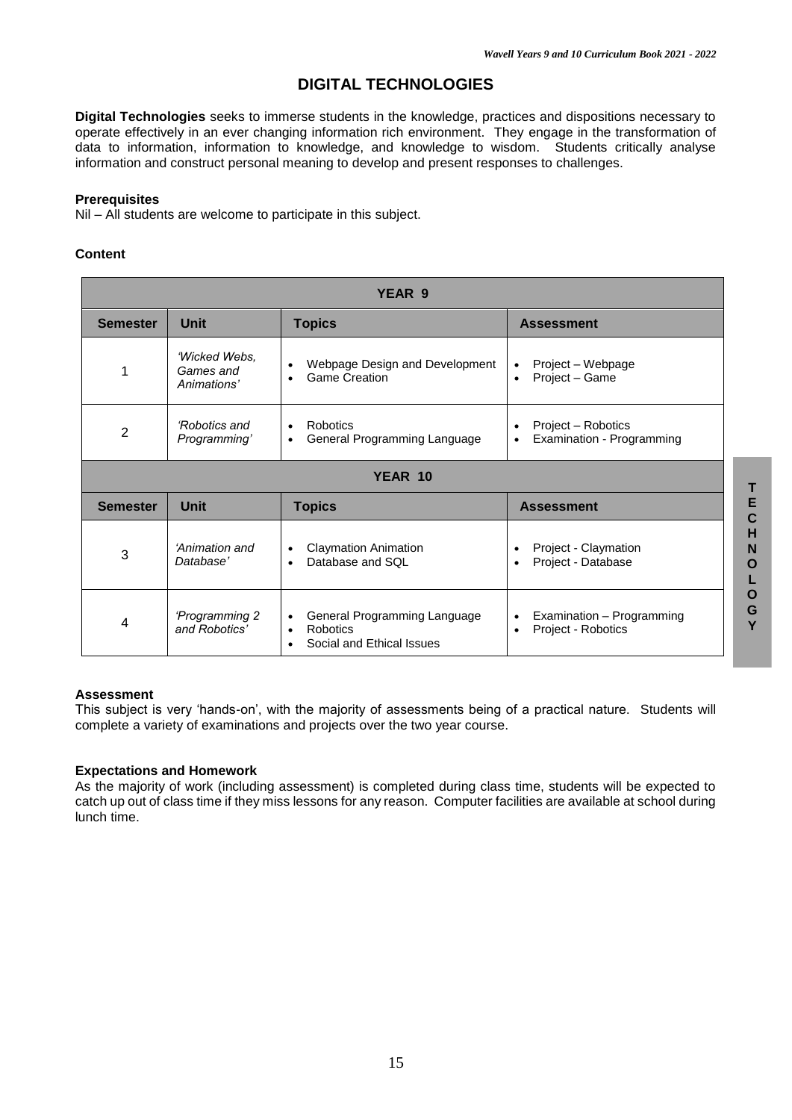# **DIGITAL TECHNOLOGIES**

**Digital Technologies** seeks to immerse students in the knowledge, practices and dispositions necessary to operate effectively in an ever changing information rich environment. They engage in the transformation of data to information, information to knowledge, and knowledge to wisdom. Students critically analyse information and construct personal meaning to develop and present responses to challenges.

#### **Prerequisites**

Nil – All students are welcome to participate in this subject.

### **Content**

| YEAR 9          |                                                                                                                               |                                                                                                      |                                                                           |
|-----------------|-------------------------------------------------------------------------------------------------------------------------------|------------------------------------------------------------------------------------------------------|---------------------------------------------------------------------------|
| <b>Semester</b> | <b>Unit</b>                                                                                                                   | <b>Topics</b>                                                                                        | <b>Assessment</b>                                                         |
|                 | 'Wicked Webs,<br>Games and<br>Animations'                                                                                     | Webpage Design and Development<br>$\bullet$<br><b>Game Creation</b><br>$\bullet$                     | Project – Webpage<br>٠<br>Project - Game<br>$\bullet$                     |
| $\overline{2}$  | 'Robotics and<br>Robotics<br>$\bullet$<br>$\bullet$<br>General Programming Language<br>Programming'<br>$\bullet$<br>$\bullet$ |                                                                                                      | Project – Robotics<br>Examination - Programming                           |
|                 |                                                                                                                               | YEAR 10                                                                                              |                                                                           |
| <b>Semester</b> | <b>Unit</b><br><b>Topics</b>                                                                                                  |                                                                                                      | <b>Assessment</b>                                                         |
| 3               | 'Animation and<br>Database'                                                                                                   | <b>Claymation Animation</b><br>$\bullet$<br>Database and SQL<br>$\bullet$                            | Project - Claymation<br>Project - Database<br>$\bullet$                   |
| 4               | 'Programming 2<br>and Robotics'                                                                                               | General Programming Language<br>$\bullet$<br>Robotics<br>$\bullet$<br>Social and Ethical Issues<br>٠ | Examination - Programming<br>$\bullet$<br>Project - Robotics<br>$\bullet$ |

### **Assessment**

This subject is very 'hands-on', with the majority of assessments being of a practical nature. Students will complete a variety of examinations and projects over the two year course.

### **Expectations and Homework**

As the majority of work (including assessment) is completed during class time, students will be expected to catch up out of class time if they miss lessons for any reason. Computer facilities are available at school during lunch time.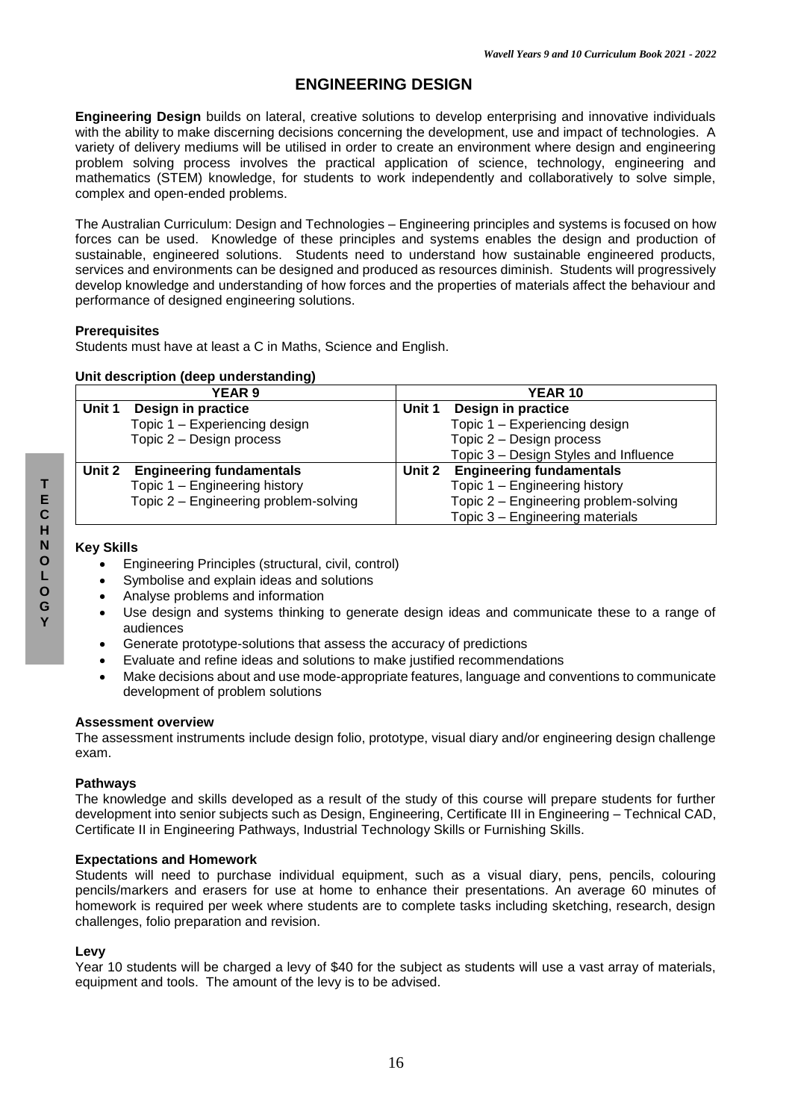# **ENGINEERING DESIGN**

**Engineering Design** builds on lateral, creative solutions to develop enterprising and innovative individuals with the ability to make discerning decisions concerning the development, use and impact of technologies. A variety of delivery mediums will be utilised in order to create an environment where design and engineering problem solving process involves the practical application of science, technology, engineering and mathematics (STEM) knowledge, for students to work independently and collaboratively to solve simple, complex and open-ended problems.

The Australian Curriculum: Design and Technologies – Engineering principles and systems is focused on how forces can be used. Knowledge of these principles and systems enables the design and production of sustainable, engineered solutions. Students need to understand how sustainable engineered products, services and environments can be designed and produced as resources diminish. Students will progressively develop knowledge and understanding of how forces and the properties of materials affect the behaviour and performance of designed engineering solutions.

### **Prerequisites**

Students must have at least a C in Maths, Science and English.

### **Unit description (deep understanding)**

| <b>YEAR 9</b> |                                                    | <b>YEAR 10</b> |                                       |
|---------------|----------------------------------------------------|----------------|---------------------------------------|
| Unit 1        | Design in practice<br>Design in practice<br>Unit 1 |                |                                       |
|               | Topic 1 - Experiencing design                      |                | Topic 1 - Experiencing design         |
|               | Topic 2 - Design process                           |                | Topic 2 - Design process              |
|               |                                                    |                | Topic 3 – Design Styles and Influence |
| Unit 2        | <b>Engineering fundamentals</b>                    | Unit 2         | <b>Engineering fundamentals</b>       |
|               | Topic 1 - Engineering history                      |                | Topic 1 - Engineering history         |
|               | Topic 2 - Engineering problem-solving              |                | Topic 2 - Engineering problem-solving |
|               |                                                    |                | Topic 3 - Engineering materials       |

### **Key Skills**

- Engineering Principles (structural, civil, control)
- Symbolise and explain ideas and solutions
- Analyse problems and information
- Use design and systems thinking to generate design ideas and communicate these to a range of audiences
- Generate prototype-solutions that assess the accuracy of predictions
- Evaluate and refine ideas and solutions to make justified recommendations
- Make decisions about and use mode-appropriate features, language and conventions to communicate development of problem solutions

#### **Assessment overview**

The assessment instruments include design folio, prototype, visual diary and/or engineering design challenge exam.

### **Pathways**

The knowledge and skills developed as a result of the study of this course will prepare students for further development into senior subjects such as Design, Engineering, Certificate III in Engineering – Technical CAD, Certificate II in Engineering Pathways, Industrial Technology Skills or Furnishing Skills.

### **Expectations and Homework**

Students will need to purchase individual equipment, such as a visual diary, pens, pencils, colouring pencils/markers and erasers for use at home to enhance their presentations. An average 60 minutes of homework is required per week where students are to complete tasks including sketching, research, design challenges, folio preparation and revision.

### **Levy**

Year 10 students will be charged a levy of \$40 for the subject as students will use a vast array of materials, equipment and tools. The amount of the levy is to be advised.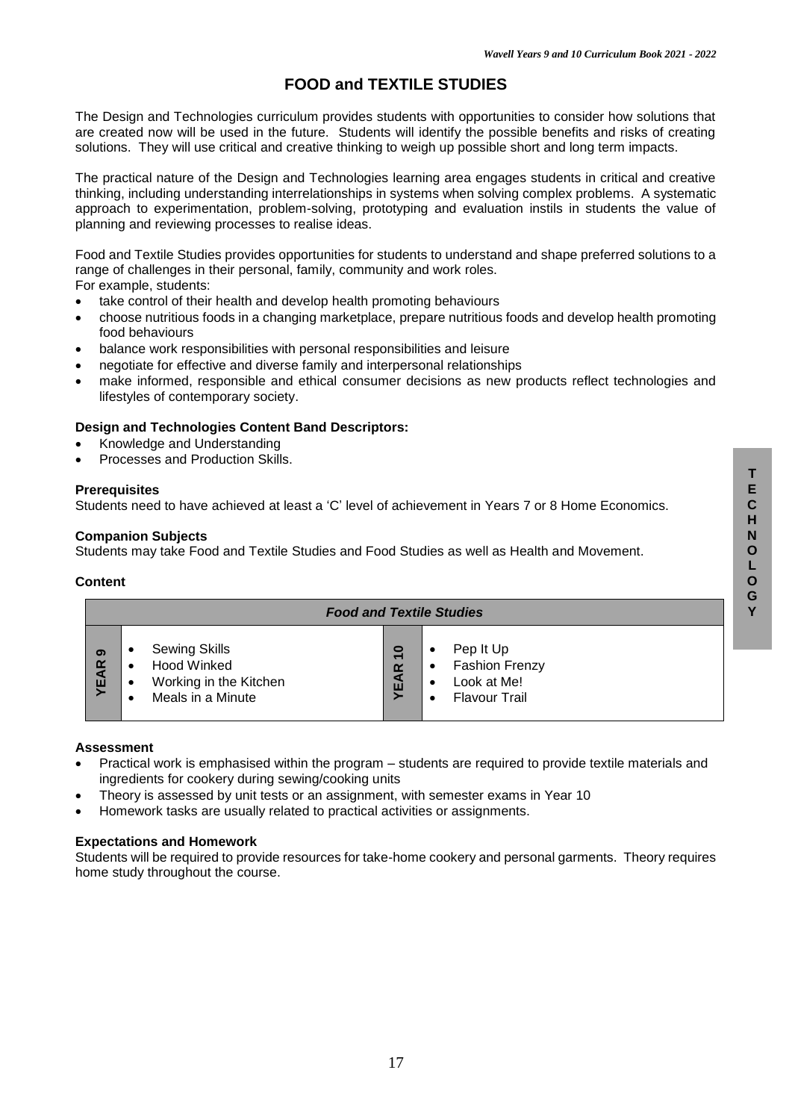# **FOOD and TEXTILE STUDIES**

The Design and Technologies curriculum provides students with opportunities to consider how solutions that are created now will be used in the future. Students will identify the possible benefits and risks of creating solutions. They will use critical and creative thinking to weigh up possible short and long term impacts.

The practical nature of the Design and Technologies learning area engages students in critical and creative thinking, including understanding interrelationships in systems when solving complex problems. A systematic approach to experimentation, problem-solving, prototyping and evaluation instils in students the value of planning and reviewing processes to realise ideas.

Food and Textile Studies provides opportunities for students to understand and shape preferred solutions to a range of challenges in their personal, family, community and work roles. For example, students:

- take control of their health and develop health promoting behaviours
- choose nutritious foods in a changing marketplace, prepare nutritious foods and develop health promoting food behaviours
- balance work responsibilities with personal responsibilities and leisure
- negotiate for effective and diverse family and interpersonal relationships
- make informed, responsible and ethical consumer decisions as new products reflect technologies and lifestyles of contemporary society.

### **Design and Technologies Content Band Descriptors:**

- Knowledge and Understanding
- Processes and Production Skills.

### **Prerequisites**

Students need to have achieved at least a 'C' level of achievement in Years 7 or 8 Home Economics.

### **Companion Subjects**

Students may take Food and Textile Studies and Food Studies as well as Health and Movement.

#### **Content**

| <b>Food and Textile Studies</b> |           |                                                                                    |                                           |                                                                                                               |
|---------------------------------|-----------|------------------------------------------------------------------------------------|-------------------------------------------|---------------------------------------------------------------------------------------------------------------|
| ග<br><b>YEAR</b>                | $\bullet$ | <b>Sewing Skills</b><br>Hood Winked<br>Working in the Kitchen<br>Meals in a Minute | 0<br>$\overline{ }$<br>$\alpha$<br>a<br>ш | Pep It Up<br>٠<br><b>Fashion Frenzy</b><br>$\bullet$<br>Look at Me!<br>٠<br><b>Flavour Trail</b><br>$\bullet$ |

#### **Assessment**

- Practical work is emphasised within the program students are required to provide textile materials and ingredients for cookery during sewing/cooking units
- Theory is assessed by unit tests or an assignment, with semester exams in Year 10
- Homework tasks are usually related to practical activities or assignments.

### **Expectations and Homework**

Students will be required to provide resources for take-home cookery and personal garments. Theory requires home study throughout the course.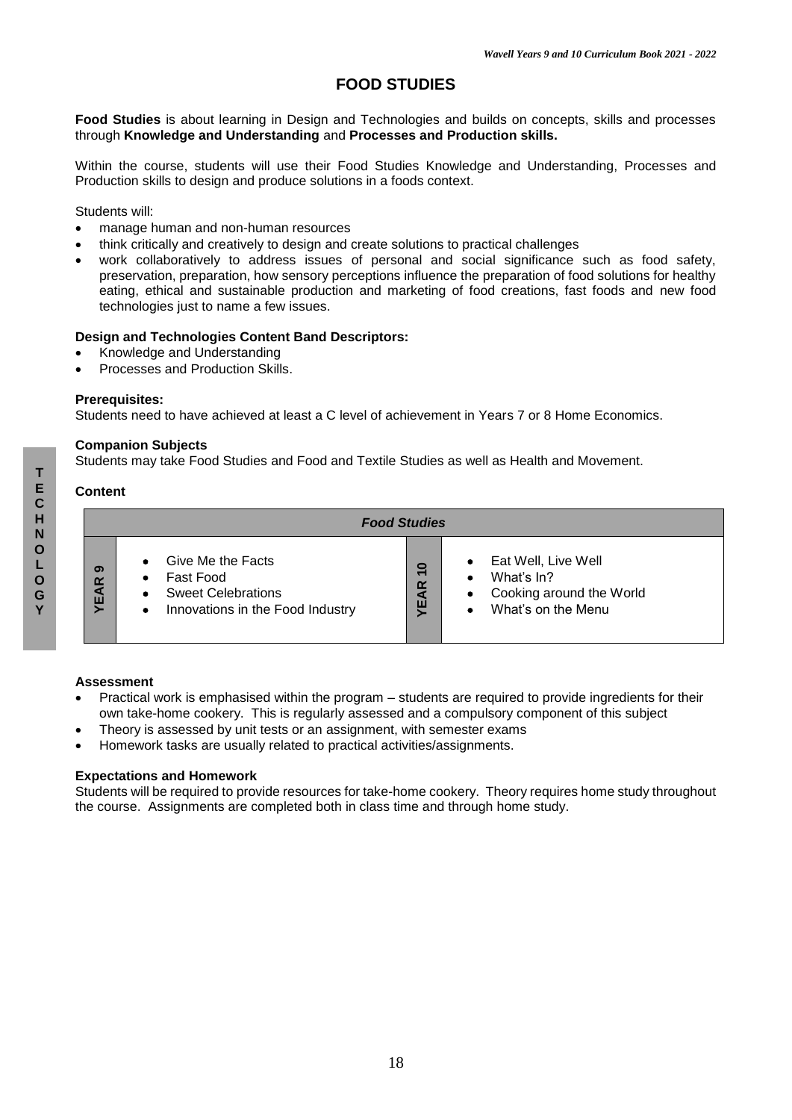# **FOOD STUDIES**

**Food Studies** is about learning in Design and Technologies and builds on concepts, skills and processes through **Knowledge and Understanding** and **Processes and Production skills.**

Within the course, students will use their Food Studies Knowledge and Understanding, Processes and Production skills to design and produce solutions in a foods context.

Students will:

- manage human and non-human resources
- think critically and creatively to design and create solutions to practical challenges
- work collaboratively to address issues of personal and social significance such as food safety, preservation, preparation, how sensory perceptions influence the preparation of food solutions for healthy eating, ethical and sustainable production and marketing of food creations, fast foods and new food technologies just to name a few issues.

### **Design and Technologies Content Band Descriptors:**

- Knowledge and Understanding
- Processes and Production Skills.

#### **Prerequisites:**

Students need to have achieved at least a C level of achievement in Years 7 or 8 Home Economics.

### **Companion Subjects**

Students may take Food Studies and Food and Textile Studies as well as Health and Movement.

### **Content**

|                  | <b>Food Studies</b>                                                                                          |                                    |                                                                                                                    |  |
|------------------|--------------------------------------------------------------------------------------------------------------|------------------------------------|--------------------------------------------------------------------------------------------------------------------|--|
| ග<br><b>YEAR</b> | Give Me the Facts<br>Fast Food<br><b>Sweet Celebrations</b><br>Innovations in the Food Industry<br>$\bullet$ | $\overline{\mathsf{c}}$<br>AR<br>ш | Eat Well, Live Well<br>$\bullet$<br>What's In?<br>Cooking around the World<br>٠<br>What's on the Menu<br>$\bullet$ |  |

#### **Assessment**

- Practical work is emphasised within the program students are required to provide ingredients for their own take-home cookery. This is regularly assessed and a compulsory component of this subject
- Theory is assessed by unit tests or an assignment, with semester exams
- Homework tasks are usually related to practical activities/assignments.

### **Expectations and Homework**

Students will be required to provide resources for take-home cookery. Theory requires home study throughout the course. Assignments are completed both in class time and through home study.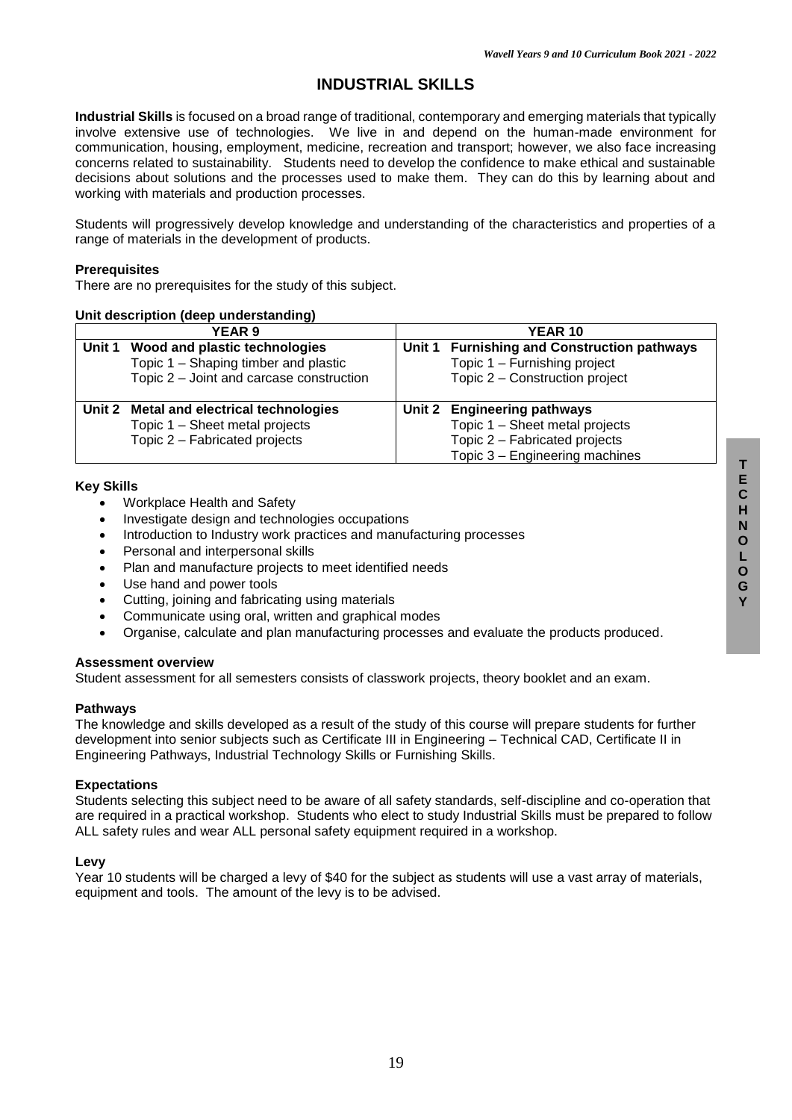# **INDUSTRIAL SKILLS**

**Industrial Skills** is focused on a broad range of traditional, contemporary and emerging materials that typically involve extensive use of technologies. We live in and depend on the human-made environment for communication, housing, employment, medicine, recreation and transport; however, we also face increasing concerns related to sustainability. Students need to develop the confidence to make ethical and sustainable decisions about solutions and the processes used to make them. They can do this by learning about and working with materials and production processes.

Students will progressively develop knowledge and understanding of the characteristics and properties of a range of materials in the development of products.

#### **Prerequisites**

There are no prerequisites for the study of this subject.

#### **Unit description (deep understanding)**

| <b>YEAR 9</b> |                                                                                                             | <b>YEAR 10</b> |                                                                                                                                  |
|---------------|-------------------------------------------------------------------------------------------------------------|----------------|----------------------------------------------------------------------------------------------------------------------------------|
| Unit 1        | Wood and plastic technologies<br>Topic 1 – Shaping timber and plastic                                       |                | Unit 1 Furnishing and Construction pathways<br>Topic 1 - Furnishing project                                                      |
|               | Topic 2 - Joint and carcase construction                                                                    |                | Topic 2 – Construction project                                                                                                   |
|               | Unit 2 Metal and electrical technologies<br>Topic 1 - Sheet metal projects<br>Topic 2 - Fabricated projects |                | Unit 2 Engineering pathways<br>Topic 1 - Sheet metal projects<br>Topic 2 - Fabricated projects<br>Topic 3 - Engineering machines |

#### **Key Skills**

- Workplace Health and Safety
- Investigate design and technologies occupations
- Introduction to Industry work practices and manufacturing processes
- Personal and interpersonal skills
- Plan and manufacture projects to meet identified needs
- Use hand and power tools
- Cutting, joining and fabricating using materials
- Communicate using oral, written and graphical modes
- Organise, calculate and plan manufacturing processes and evaluate the products produced.

#### **Assessment overview**

Student assessment for all semesters consists of classwork projects, theory booklet and an exam.

#### **Pathways**

The knowledge and skills developed as a result of the study of this course will prepare students for further development into senior subjects such as Certificate III in Engineering – Technical CAD, Certificate II in Engineering Pathways, Industrial Technology Skills or Furnishing Skills.

### **Expectations**

Students selecting this subject need to be aware of all safety standards, self-discipline and co-operation that are required in a practical workshop. Students who elect to study Industrial Skills must be prepared to follow ALL safety rules and wear ALL personal safety equipment required in a workshop.

#### **Levy**

Year 10 students will be charged a levy of \$40 for the subject as students will use a vast array of materials, equipment and tools. The amount of the levy is to be advised.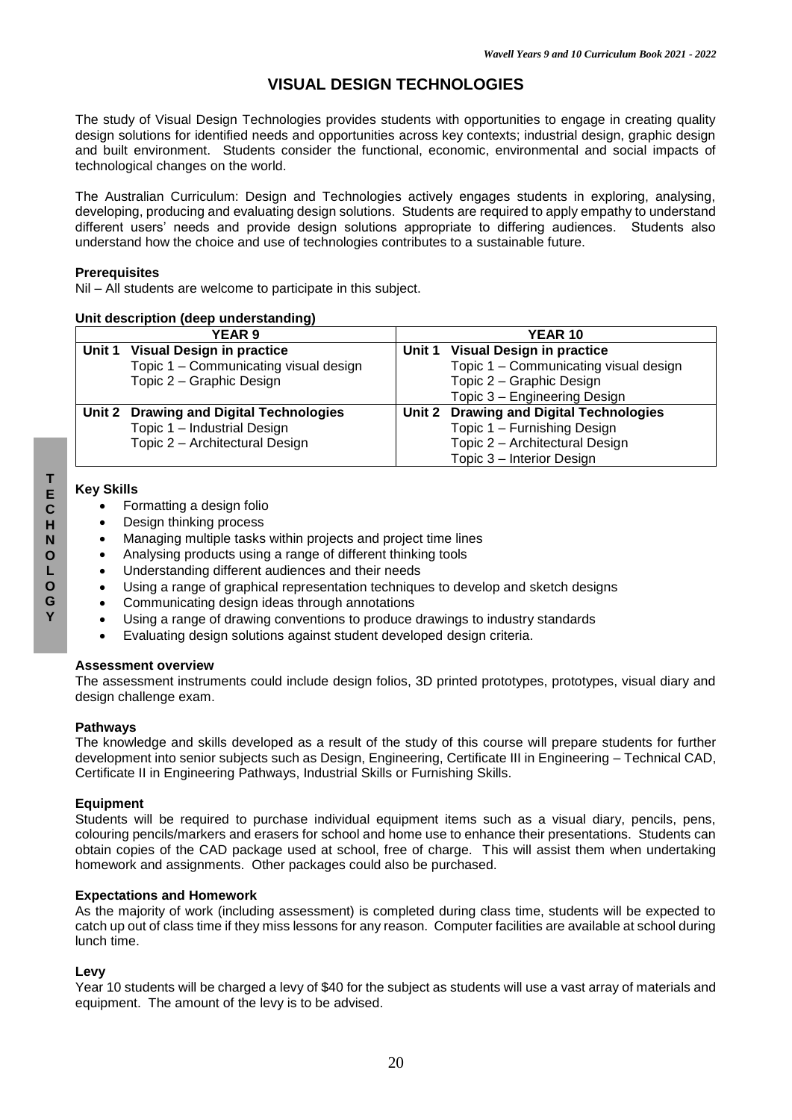# **VISUAL DESIGN TECHNOLOGIES**

The study of Visual Design Technologies provides students with opportunities to engage in creating quality design solutions for identified needs and opportunities across key contexts; industrial design, graphic design and built environment. Students consider the functional, economic, environmental and social impacts of technological changes on the world.

The Australian Curriculum: Design and Technologies actively engages students in exploring, analysing, developing, producing and evaluating design solutions. Students are required to apply empathy to understand different users' needs and provide design solutions appropriate to differing audiences. Students also understand how the choice and use of technologies contributes to a sustainable future.

### **Prerequisites**

Nil – All students are welcome to participate in this subject.

### **Unit description (deep understanding)**

| <b>YEAR 9</b> |                                         | <b>YEAR 10</b> |                                         |
|---------------|-----------------------------------------|----------------|-----------------------------------------|
|               | Unit 1 Visual Design in practice        |                | Unit 1 Visual Design in practice        |
|               | Topic 1 - Communicating visual design   |                | Topic 1 - Communicating visual design   |
|               | Topic 2 - Graphic Design                |                | Topic 2 - Graphic Design                |
|               |                                         |                | Topic 3 - Engineering Design            |
|               | Unit 2 Drawing and Digital Technologies |                | Unit 2 Drawing and Digital Technologies |
|               | Topic 1 - Industrial Design             |                | Topic 1 - Furnishing Design             |
|               | Topic 2 - Architectural Design          |                | Topic 2 - Architectural Design          |
|               |                                         |                | Topic 3 - Interior Design               |

### **Key Skills**

- Formatting a design folio
- Design thinking process
- Managing multiple tasks within projects and project time lines
- Analysing products using a range of different thinking tools
- Understanding different audiences and their needs
- Using a range of graphical representation techniques to develop and sketch designs
- Communicating design ideas through annotations
- Using a range of drawing conventions to produce drawings to industry standards
- Evaluating design solutions against student developed design criteria.

#### **Assessment overview**

The assessment instruments could include design folios, 3D printed prototypes, prototypes, visual diary and design challenge exam.

### **Pathways**

The knowledge and skills developed as a result of the study of this course will prepare students for further development into senior subjects such as Design, Engineering, Certificate III in Engineering – Technical CAD, Certificate II in Engineering Pathways, Industrial Skills or Furnishing Skills.

### **Equipment**

Students will be required to purchase individual equipment items such as a visual diary, pencils, pens, colouring pencils/markers and erasers for school and home use to enhance their presentations. Students can obtain copies of the CAD package used at school, free of charge. This will assist them when undertaking homework and assignments. Other packages could also be purchased.

### **Expectations and Homework**

As the majority of work (including assessment) is completed during class time, students will be expected to catch up out of class time if they miss lessons for any reason. Computer facilities are available at school during lunch time.

### **Levy**

Year 10 students will be charged a levy of \$40 for the subject as students will use a vast array of materials and equipment. The amount of the levy is to be advised.

**T E**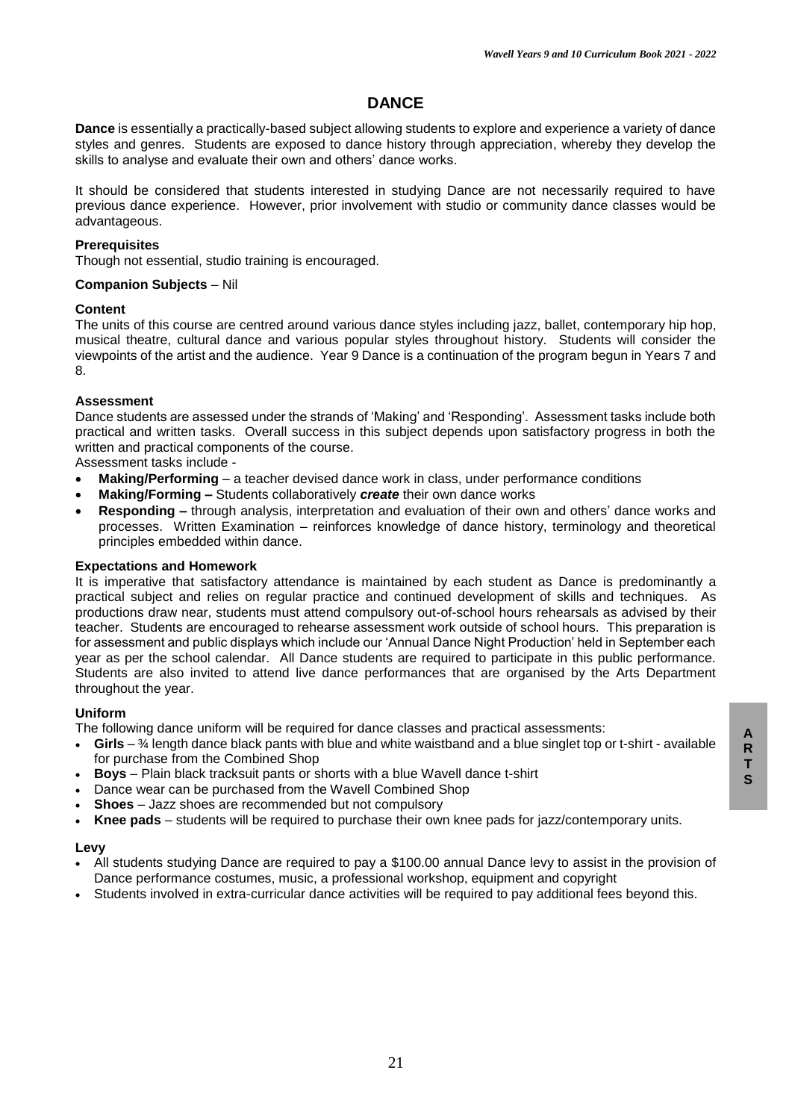# **DANCE**

**Dance** is essentially a practically-based subject allowing students to explore and experience a variety of dance styles and genres. Students are exposed to dance history through appreciation, whereby they develop the skills to analyse and evaluate their own and others' dance works.

It should be considered that students interested in studying Dance are not necessarily required to have previous dance experience. However, prior involvement with studio or community dance classes would be advantageous.

#### **Prerequisites**

Though not essential, studio training is encouraged.

### **Companion Subjects** – Nil

#### **Content**

The units of this course are centred around various dance styles including jazz, ballet, contemporary hip hop, musical theatre, cultural dance and various popular styles throughout history. Students will consider the viewpoints of the artist and the audience. Year 9 Dance is a continuation of the program begun in Years 7 and 8.

### **Assessment**

Dance students are assessed under the strands of 'Making' and 'Responding'. Assessment tasks include both practical and written tasks. Overall success in this subject depends upon satisfactory progress in both the written and practical components of the course.

Assessment tasks include -

- **Making/Performing** a teacher devised dance work in class, under performance conditions
- **Making/Forming –** Students collaboratively *create* their own dance works
- **Responding –** through analysis, interpretation and evaluation of their own and others' dance works and processes. Written Examination – reinforces knowledge of dance history, terminology and theoretical principles embedded within dance.

#### **Expectations and Homework**

It is imperative that satisfactory attendance is maintained by each student as Dance is predominantly a practical subject and relies on regular practice and continued development of skills and techniques. As productions draw near, students must attend compulsory out-of-school hours rehearsals as advised by their teacher. Students are encouraged to rehearse assessment work outside of school hours. This preparation is for assessment and public displays which include our 'Annual Dance Night Production' held in September each year as per the school calendar. All Dance students are required to participate in this public performance. Students are also invited to attend live dance performances that are organised by the Arts Department throughout the year.

#### **Uniform**

The following dance uniform will be required for dance classes and practical assessments:

- **Girls** ¾ length dance black pants with blue and white waistband and a blue singlet top or t-shirt available for purchase from the Combined Shop
- **Boys** Plain black tracksuit pants or shorts with a blue Wavell dance t-shirt
- Dance wear can be purchased from the Wavell Combined Shop
- **Shoes** Jazz shoes are recommended but not compulsory
- **Knee pads**  students will be required to purchase their own knee pads for jazz/contemporary units.

#### **Levy**

- All students studying Dance are required to pay a \$100.00 annual Dance levy to assist in the provision of Dance performance costumes, music, a professional workshop, equipment and copyright
- Students involved in extra-curricular dance activities will be required to pay additional fees beyond this.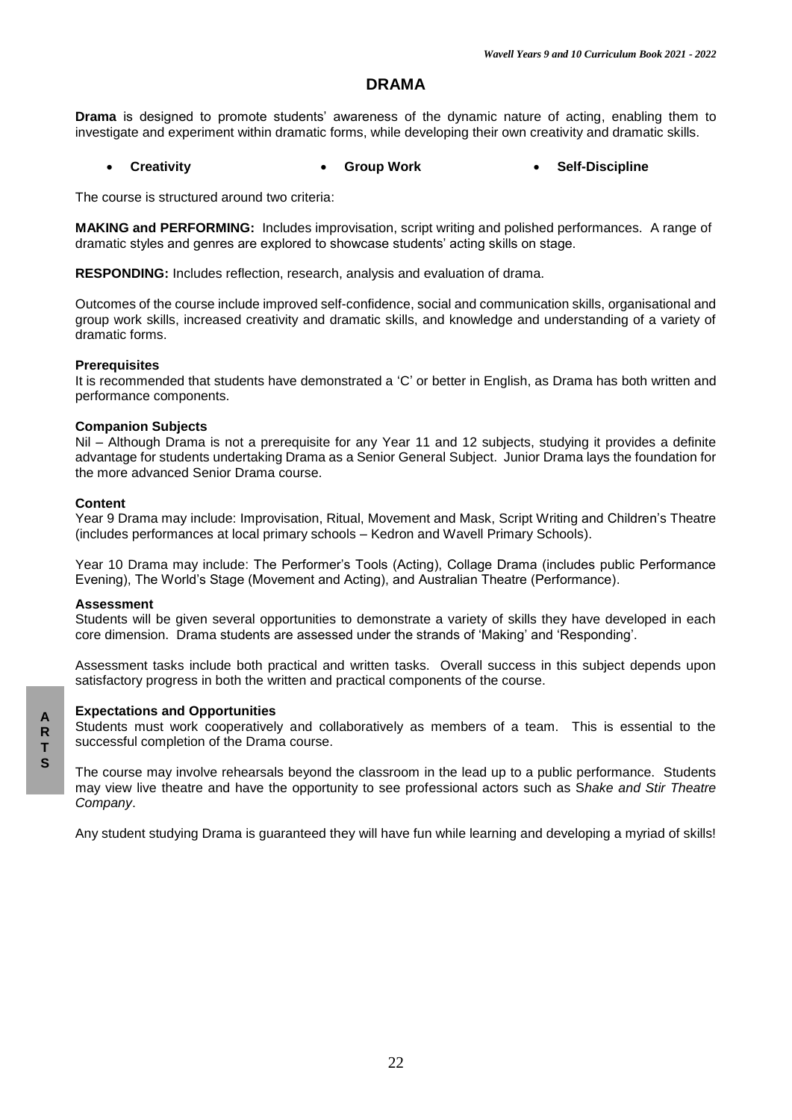### **DRAMA**

**Drama** is designed to promote students' awareness of the dynamic nature of acting, enabling them to investigate and experiment within dramatic forms, while developing their own creativity and dramatic skills.

#### **Creativity Group Work Self-Discipline**

The course is structured around two criteria:

**MAKING and PERFORMING:** Includes improvisation, script writing and polished performances. A range of dramatic styles and genres are explored to showcase students' acting skills on stage.

**RESPONDING:** Includes reflection, research, analysis and evaluation of drama.

Outcomes of the course include improved self-confidence, social and communication skills, organisational and group work skills, increased creativity and dramatic skills, and knowledge and understanding of a variety of dramatic forms.

#### **Prerequisites**

It is recommended that students have demonstrated a 'C' or better in English, as Drama has both written and performance components.

#### **Companion Subjects**

Nil – Although Drama is not a prerequisite for any Year 11 and 12 subjects, studying it provides a definite advantage for students undertaking Drama as a Senior General Subject. Junior Drama lays the foundation for the more advanced Senior Drama course.

#### **Content**

Year 9 Drama may include: Improvisation, Ritual, Movement and Mask, Script Writing and Children's Theatre (includes performances at local primary schools – Kedron and Wavell Primary Schools).

Year 10 Drama may include: The Performer's Tools (Acting), Collage Drama (includes public Performance Evening), The World's Stage (Movement and Acting), and Australian Theatre (Performance).

#### **Assessment**

Students will be given several opportunities to demonstrate a variety of skills they have developed in each core dimension. Drama students are assessed under the strands of 'Making' and 'Responding'.

Assessment tasks include both practical and written tasks. Overall success in this subject depends upon satisfactory progress in both the written and practical components of the course.

#### **Expectations and Opportunities**

Students must work cooperatively and collaboratively as members of a team. This is essential to the successful completion of the Drama course.

The course may involve rehearsals beyond the classroom in the lead up to a public performance. Students may view live theatre and have the opportunity to see professional actors such as S*hake and Stir Theatre Company*.

Any student studying Drama is guaranteed they will have fun while learning and developing a myriad of skills!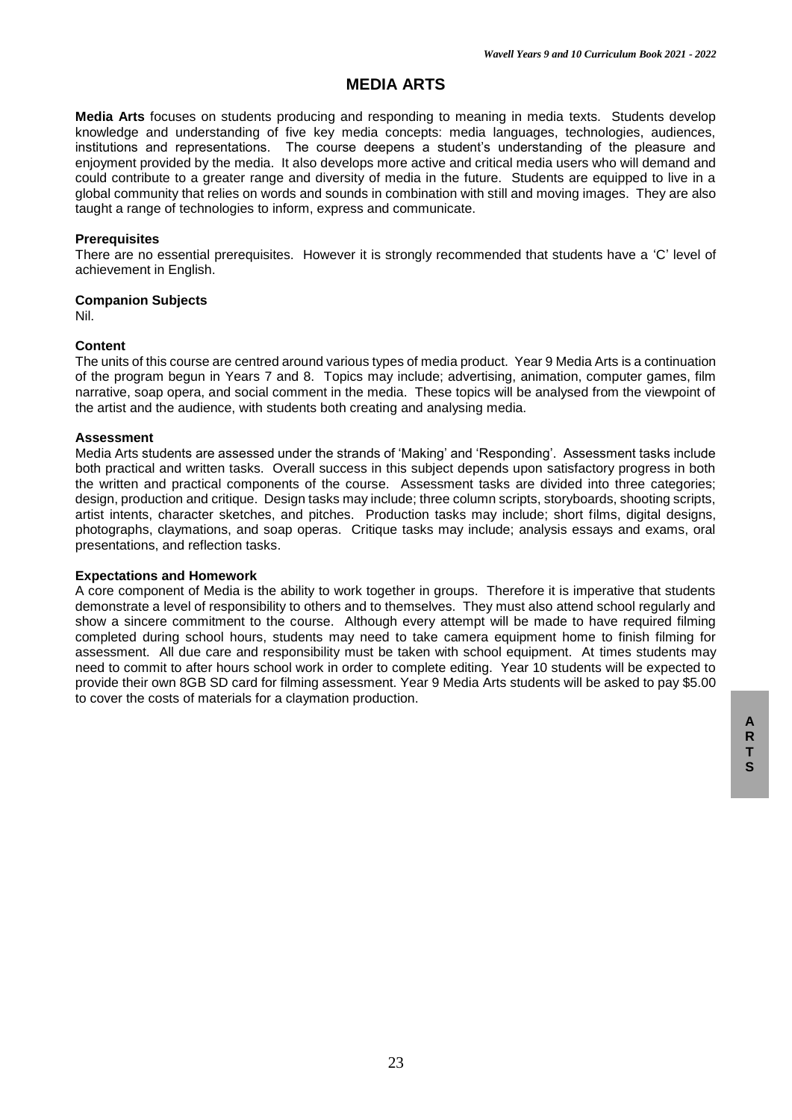# **MEDIA ARTS**

**Media Arts** focuses on students producing and responding to meaning in media texts. Students develop knowledge and understanding of five key media concepts: media languages, technologies, audiences, institutions and representations. The course deepens a student's understanding of the pleasure and enjoyment provided by the media. It also develops more active and critical media users who will demand and could contribute to a greater range and diversity of media in the future. Students are equipped to live in a global community that relies on words and sounds in combination with still and moving images. They are also taught a range of technologies to inform, express and communicate.

### **Prerequisites**

There are no essential prerequisites. However it is strongly recommended that students have a 'C' level of achievement in English.

### **Companion Subjects**

Nil.

### **Content**

The units of this course are centred around various types of media product. Year 9 Media Arts is a continuation of the program begun in Years 7 and 8. Topics may include; advertising, animation, computer games, film narrative, soap opera, and social comment in the media. These topics will be analysed from the viewpoint of the artist and the audience, with students both creating and analysing media.

### **Assessment**

Media Arts students are assessed under the strands of 'Making' and 'Responding'. Assessment tasks include both practical and written tasks. Overall success in this subject depends upon satisfactory progress in both the written and practical components of the course. Assessment tasks are divided into three categories; design, production and critique. Design tasks may include; three column scripts, storyboards, shooting scripts, artist intents, character sketches, and pitches. Production tasks may include; short films, digital designs, photographs, claymations, and soap operas. Critique tasks may include; analysis essays and exams, oral presentations, and reflection tasks.

### **Expectations and Homework**

A core component of Media is the ability to work together in groups. Therefore it is imperative that students demonstrate a level of responsibility to others and to themselves. They must also attend school regularly and show a sincere commitment to the course. Although every attempt will be made to have required filming completed during school hours, students may need to take camera equipment home to finish filming for assessment. All due care and responsibility must be taken with school equipment. At times students may need to commit to after hours school work in order to complete editing. Year 10 students will be expected to provide their own 8GB SD card for filming assessment. Year 9 Media Arts students will be asked to pay \$5.00 to cover the costs of materials for a claymation production.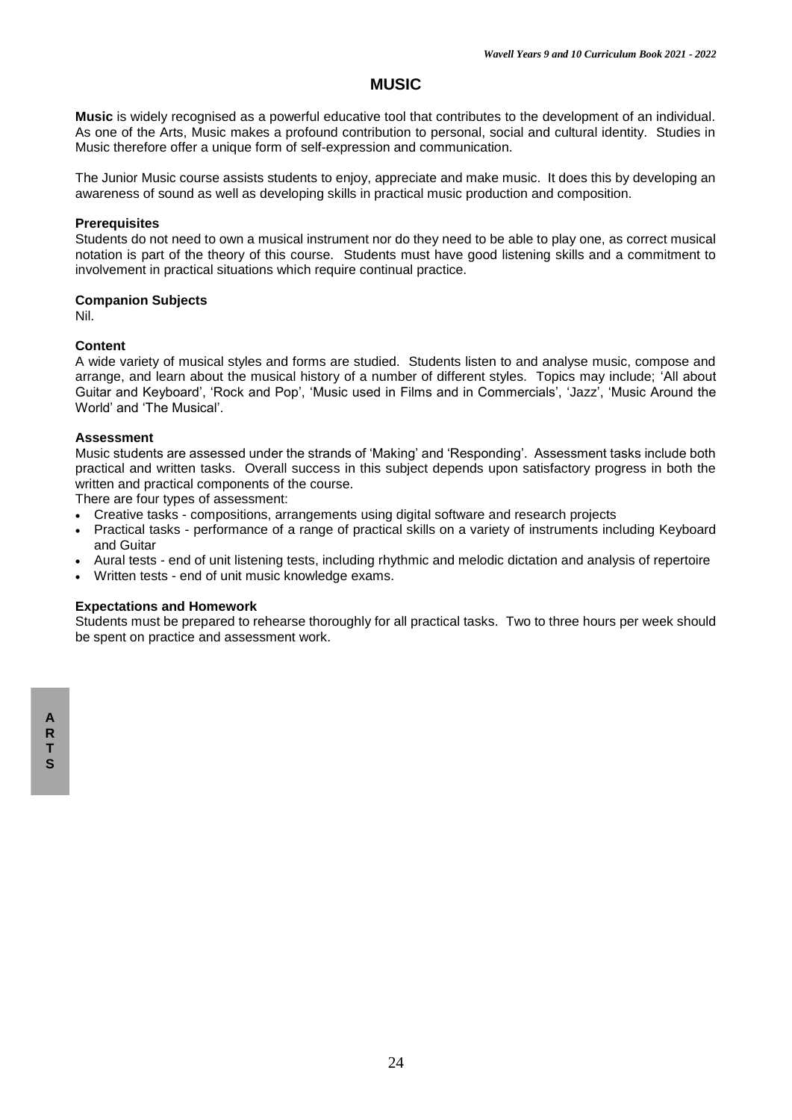# **MUSIC**

**Music** is widely recognised as a powerful educative tool that contributes to the development of an individual. As one of the Arts, Music makes a profound contribution to personal, social and cultural identity. Studies in Music therefore offer a unique form of self-expression and communication.

The Junior Music course assists students to enjoy, appreciate and make music. It does this by developing an awareness of sound as well as developing skills in practical music production and composition.

### **Prerequisites**

Students do not need to own a musical instrument nor do they need to be able to play one, as correct musical notation is part of the theory of this course. Students must have good listening skills and a commitment to involvement in practical situations which require continual practice.

### **Companion Subjects**

Nil.

### **Content**

A wide variety of musical styles and forms are studied. Students listen to and analyse music, compose and arrange, and learn about the musical history of a number of different styles. Topics may include; 'All about Guitar and Keyboard', 'Rock and Pop', 'Music used in Films and in Commercials', 'Jazz', 'Music Around the World' and 'The Musical'.

### **Assessment**

Music students are assessed under the strands of 'Making' and 'Responding'. Assessment tasks include both practical and written tasks. Overall success in this subject depends upon satisfactory progress in both the written and practical components of the course.

There are four types of assessment:

- Creative tasks compositions, arrangements using digital software and research projects
- Practical tasks performance of a range of practical skills on a variety of instruments including Keyboard and Guitar
- Aural tests end of unit listening tests, including rhythmic and melodic dictation and analysis of repertoire
- Written tests end of unit music knowledge exams.

### **Expectations and Homework**

Students must be prepared to rehearse thoroughly for all practical tasks. Two to three hours per week should be spent on practice and assessment work.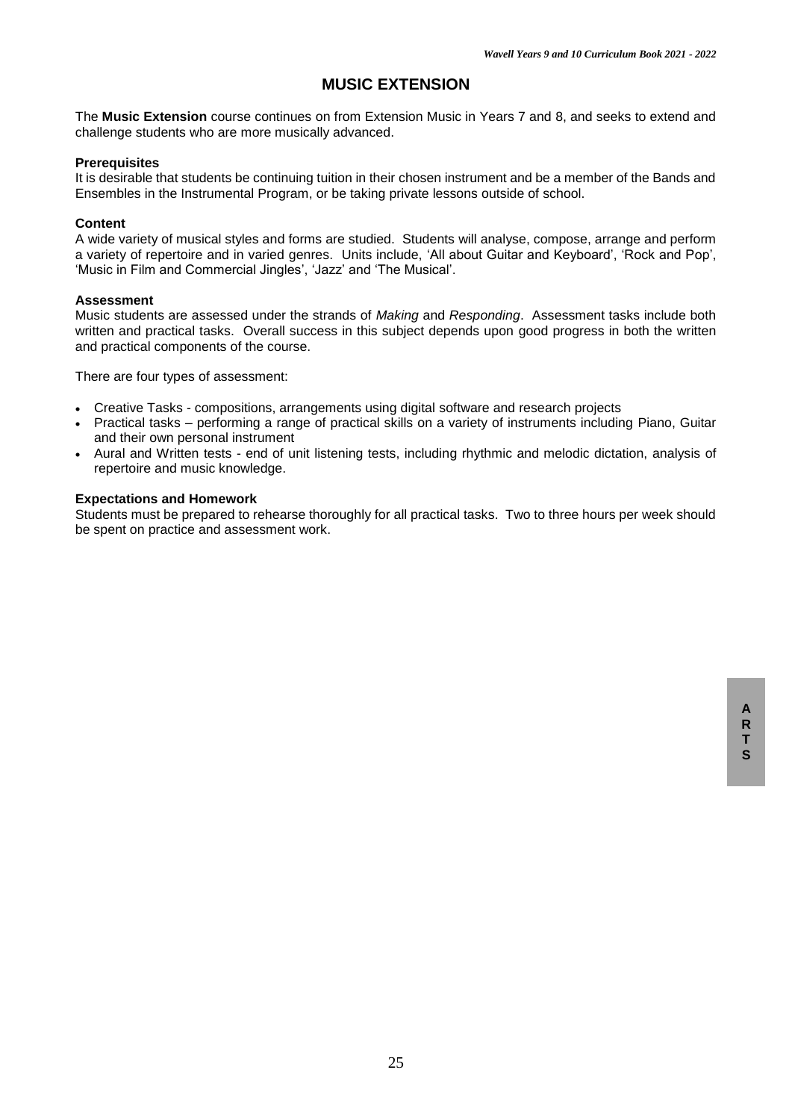# **MUSIC EXTENSION**

The **Music Extension** course continues on from Extension Music in Years 7 and 8, and seeks to extend and challenge students who are more musically advanced.

#### **Prerequisites**

It is desirable that students be continuing tuition in their chosen instrument and be a member of the Bands and Ensembles in the Instrumental Program, or be taking private lessons outside of school.

#### **Content**

A wide variety of musical styles and forms are studied. Students will analyse, compose, arrange and perform a variety of repertoire and in varied genres. Units include, 'All about Guitar and Keyboard', 'Rock and Pop', 'Music in Film and Commercial Jingles', 'Jazz' and 'The Musical'.

#### **Assessment**

Music students are assessed under the strands of *Making* and *Responding*. Assessment tasks include both written and practical tasks. Overall success in this subject depends upon good progress in both the written and practical components of the course.

There are four types of assessment:

- Creative Tasks compositions, arrangements using digital software and research projects
- Practical tasks performing a range of practical skills on a variety of instruments including Piano, Guitar and their own personal instrument
- Aural and Written tests end of unit listening tests, including rhythmic and melodic dictation, analysis of repertoire and music knowledge.

### **Expectations and Homework**

Students must be prepared to rehearse thoroughly for all practical tasks. Two to three hours per week should be spent on practice and assessment work.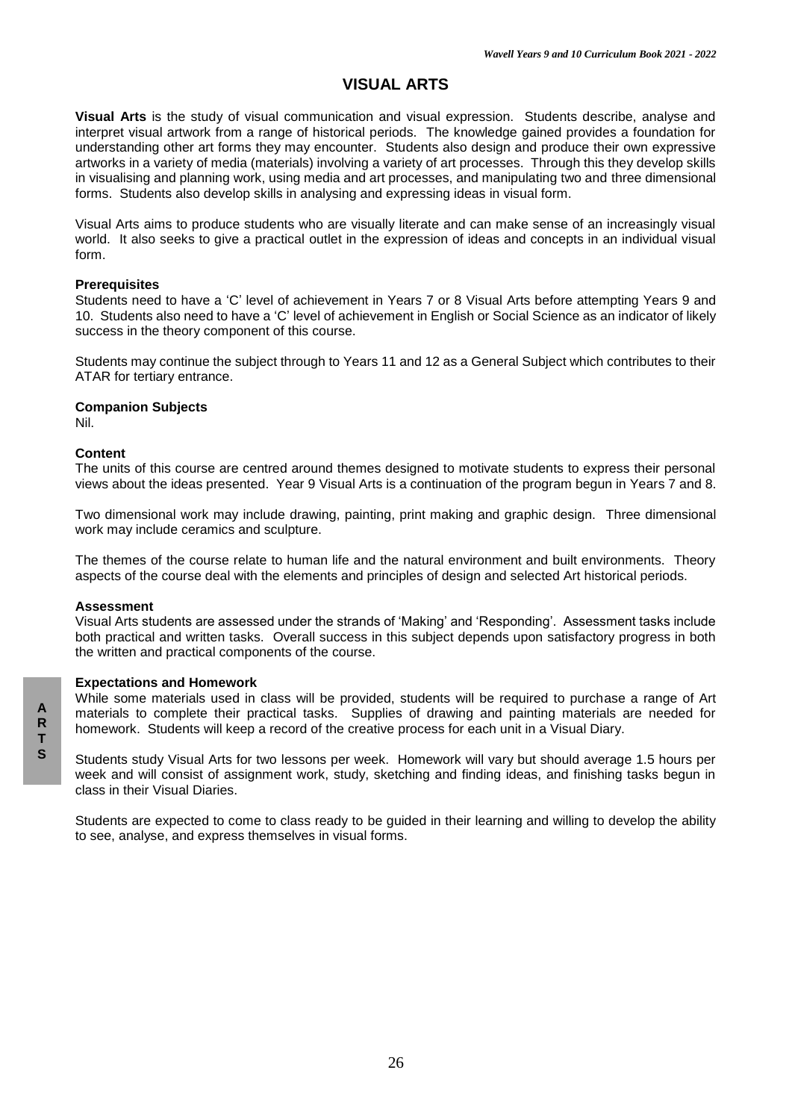# **VISUAL ARTS**

**Visual Arts** is the study of visual communication and visual expression. Students describe, analyse and interpret visual artwork from a range of historical periods. The knowledge gained provides a foundation for understanding other art forms they may encounter. Students also design and produce their own expressive artworks in a variety of media (materials) involving a variety of art processes. Through this they develop skills in visualising and planning work, using media and art processes, and manipulating two and three dimensional forms. Students also develop skills in analysing and expressing ideas in visual form.

Visual Arts aims to produce students who are visually literate and can make sense of an increasingly visual world. It also seeks to give a practical outlet in the expression of ideas and concepts in an individual visual form.

#### **Prerequisites**

Students need to have a 'C' level of achievement in Years 7 or 8 Visual Arts before attempting Years 9 and 10. Students also need to have a 'C' level of achievement in English or Social Science as an indicator of likely success in the theory component of this course.

Students may continue the subject through to Years 11 and 12 as a General Subject which contributes to their ATAR for tertiary entrance.

### **Companion Subjects**

Nil.

### **Content**

The units of this course are centred around themes designed to motivate students to express their personal views about the ideas presented. Year 9 Visual Arts is a continuation of the program begun in Years 7 and 8.

Two dimensional work may include drawing, painting, print making and graphic design. Three dimensional work may include ceramics and sculpture.

The themes of the course relate to human life and the natural environment and built environments. Theory aspects of the course deal with the elements and principles of design and selected Art historical periods.

#### **Assessment**

Visual Arts students are assessed under the strands of 'Making' and 'Responding'. Assessment tasks include both practical and written tasks. Overall success in this subject depends upon satisfactory progress in both the written and practical components of the course.

#### **Expectations and Homework**

While some materials used in class will be provided, students will be required to purchase a range of Art materials to complete their practical tasks. Supplies of drawing and painting materials are needed for homework. Students will keep a record of the creative process for each unit in a Visual Diary.

Students study Visual Arts for two lessons per week. Homework will vary but should average 1.5 hours per week and will consist of assignment work, study, sketching and finding ideas, and finishing tasks begun in class in their Visual Diaries.

Students are expected to come to class ready to be guided in their learning and willing to develop the ability to see, analyse, and express themselves in visual forms.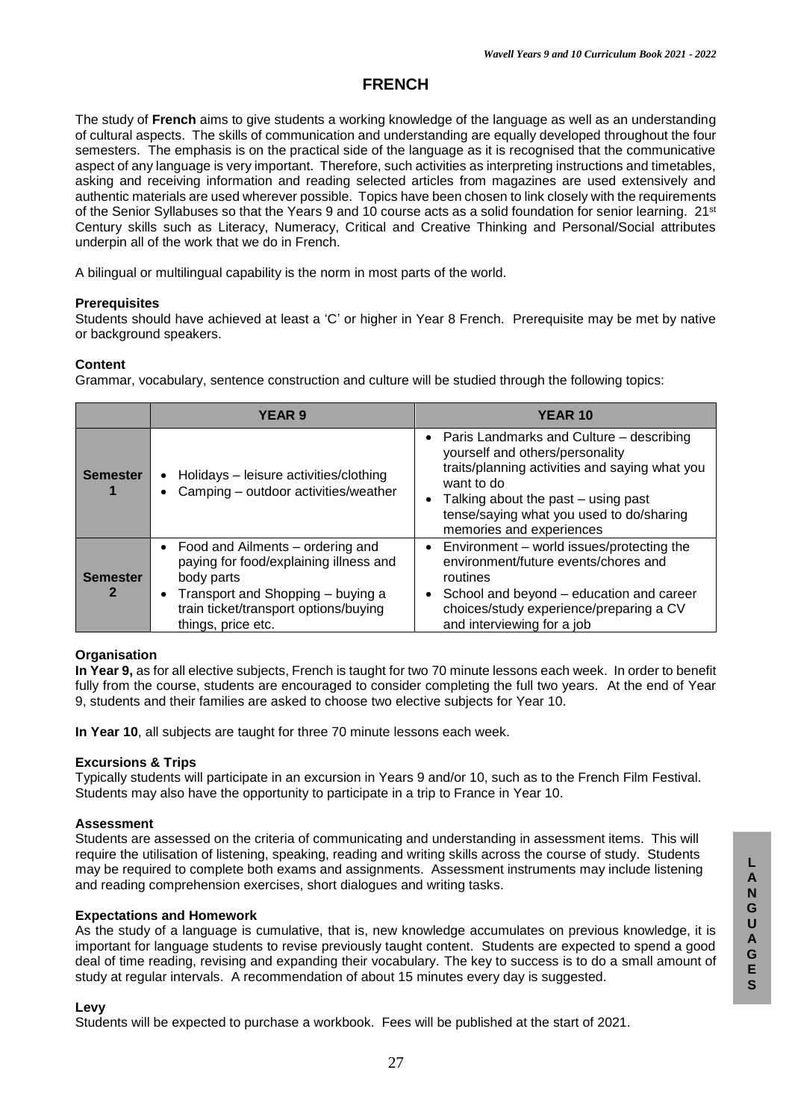# **FRENCH**

The study of **French** aims to give students a working knowledge of the language as well as an understanding of cultural aspects. The skills of communication and understanding are equally developed throughout the four semesters. The emphasis is on the practical side of the language as it is recognised that the communicative aspect of any language is very important. Therefore, such activities as interpreting instructions and timetables, asking and receiving information and reading selected articles from magazines are used extensively and authentic materials are used wherever possible. Topics have been chosen to link closely with the requirements of the Senior Syllabuses so that the Years 9 and 10 course acts as a solid foundation for senior learning. 21<sup>st</sup> Century skills such as Literacy, Numeracy, Critical and Creative Thinking and Personal/Social attributes underpin all of the work that we do in French.

A bilingual or multilingual capability is the norm in most parts of the world.

### **Prerequisites**

Students should have achieved at least a 'C' or higher in Year 8 French. Prerequisite may be met by native or background speakers.

### **Content**

Grammar, vocabulary, sentence construction and culture will be studied through the following topics:

|                      | <b>YEAR 9</b>                                                                                                                                                                                               | <b>YEAR 10</b>                                                                                                                                                                                                                                               |
|----------------------|-------------------------------------------------------------------------------------------------------------------------------------------------------------------------------------------------------------|--------------------------------------------------------------------------------------------------------------------------------------------------------------------------------------------------------------------------------------------------------------|
| <b>Semester</b>      | Holidays - leisure activities/clothing<br>$\bullet$<br>Camping - outdoor activities/weather                                                                                                                 | • Paris Landmarks and Culture – describing<br>yourself and others/personality<br>traits/planning activities and saying what you<br>want to do<br>Talking about the past – using past<br>tense/saying what you used to do/sharing<br>memories and experiences |
| <b>Semester</b><br>2 | • Food and Ailments - ordering and<br>paying for food/explaining illness and<br>body parts<br>Transport and Shopping - buying a<br>$\bullet$<br>train ticket/transport options/buying<br>things, price etc. | Environment - world issues/protecting the<br>environment/future events/chores and<br>routines<br>School and beyond - education and career<br>choices/study experience/preparing a CV<br>and interviewing for a job                                           |

#### **Organisation**

**In Year 9,** as for all elective subjects, French is taught for two 70 minute lessons each week. In order to benefit fully from the course, students are encouraged to consider completing the full two years. At the end of Year 9, students and their families are asked to choose two elective subjects for Year 10.

**In Year 10**, all subjects are taught for three 70 minute lessons each week.

### **Excursions & Trips**

Typically students will participate in an excursion in Years 9 and/or 10, such as to the French Film Festival. Students may also have the opportunity to participate in a trip to France in Year 10.

#### **Assessment**

Students are assessed on the criteria of communicating and understanding in assessment items. This will require the utilisation of listening, speaking, reading and writing skills across the course of study. Students may be required to complete both exams and assignments. Assessment instruments may include listening and reading comprehension exercises, short dialogues and writing tasks.

#### **Expectations and Homework**

As the study of a language is cumulative, that is, new knowledge accumulates on previous knowledge, it is important for language students to revise previously taught content. Students are expected to spend a good deal of time reading, revising and expanding their vocabulary. The key to success is to do a small amount of study at regular intervals. A recommendation of about 15 minutes every day is suggested.

#### **Levy**

Students will be expected to purchase a workbook. Fees will be published at the start of 2021.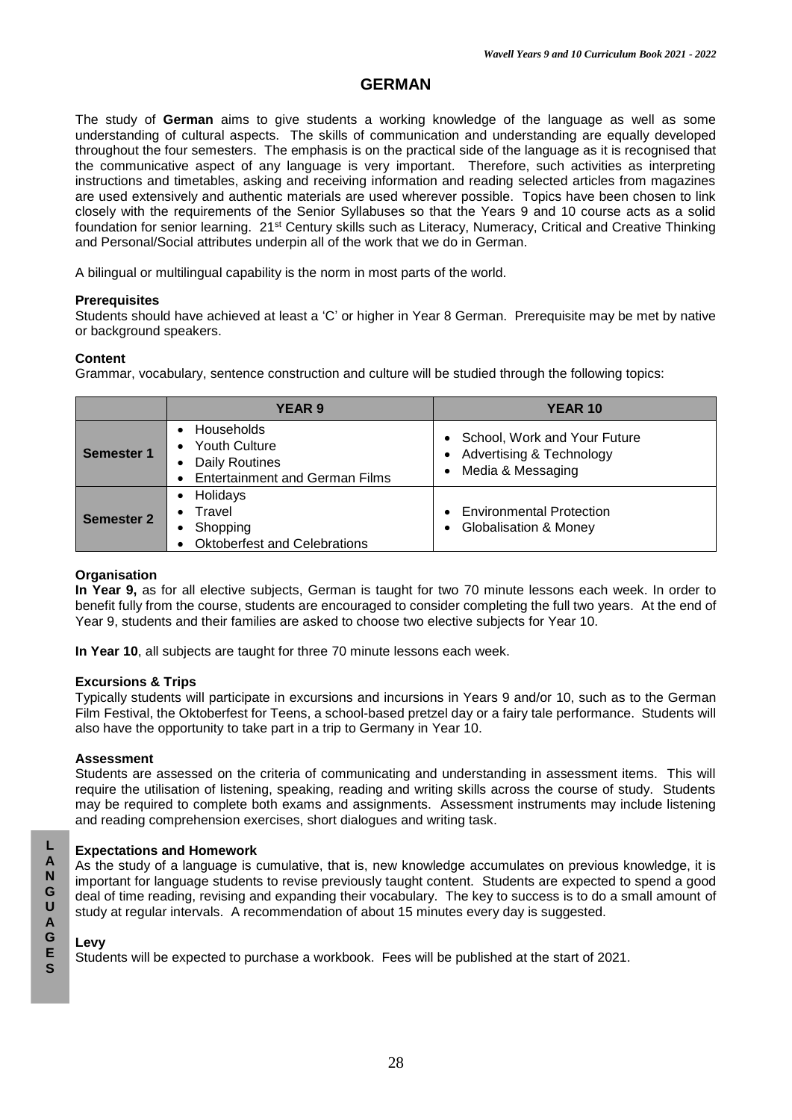# **GERMAN**

The study of **German** aims to give students a working knowledge of the language as well as some understanding of cultural aspects. The skills of communication and understanding are equally developed throughout the four semesters. The emphasis is on the practical side of the language as it is recognised that the communicative aspect of any language is very important. Therefore, such activities as interpreting instructions and timetables, asking and receiving information and reading selected articles from magazines are used extensively and authentic materials are used wherever possible. Topics have been chosen to link closely with the requirements of the Senior Syllabuses so that the Years 9 and 10 course acts as a solid foundation for senior learning. 21st Century skills such as Literacy, Numeracy, Critical and Creative Thinking and Personal/Social attributes underpin all of the work that we do in German.

A bilingual or multilingual capability is the norm in most parts of the world.

### **Prerequisites**

Students should have achieved at least a 'C' or higher in Year 8 German. Prerequisite may be met by native or background speakers.

### **Content**

Grammar, vocabulary, sentence construction and culture will be studied through the following topics:

|                   | <b>YEAR 9</b>                                                                                                                                      | <b>YEAR 10</b>                                                                                                       |
|-------------------|----------------------------------------------------------------------------------------------------------------------------------------------------|----------------------------------------------------------------------------------------------------------------------|
| Semester 1        | <b>Households</b><br><b>Youth Culture</b><br>$\bullet$<br><b>Daily Routines</b><br>$\bullet$<br><b>Entertainment and German Films</b><br>$\bullet$ | • School, Work and Your Future<br><b>Advertising &amp; Technology</b><br>$\bullet$<br>Media & Messaging<br>$\bullet$ |
| <b>Semester 2</b> | Holidays<br>$\bullet$<br>Travel<br>$\bullet$<br>Shopping<br>٠<br><b>Oktoberfest and Celebrations</b>                                               | <b>Environmental Protection</b><br><b>Globalisation &amp; Money</b><br>$\bullet$                                     |

### **Organisation**

**In Year 9,** as for all elective subjects, German is taught for two 70 minute lessons each week. In order to benefit fully from the course, students are encouraged to consider completing the full two years. At the end of Year 9, students and their families are asked to choose two elective subjects for Year 10.

**In Year 10**, all subjects are taught for three 70 minute lessons each week.

### **Excursions & Trips**

Typically students will participate in excursions and incursions in Years 9 and/or 10, such as to the German Film Festival, the Oktoberfest for Teens, a school-based pretzel day or a fairy tale performance. Students will also have the opportunity to take part in a trip to Germany in Year 10.

### **Assessment**

Students are assessed on the criteria of communicating and understanding in assessment items. This will require the utilisation of listening, speaking, reading and writing skills across the course of study. Students may be required to complete both exams and assignments. Assessment instruments may include listening and reading comprehension exercises, short dialogues and writing task.

### **Expectations and Homework**

As the study of a language is cumulative, that is, new knowledge accumulates on previous knowledge, it is important for language students to revise previously taught content. Students are expected to spend a good deal of time reading, revising and expanding their vocabulary. The key to success is to do a small amount of study at regular intervals. A recommendation of about 15 minutes every day is suggested.

### **Levy**

Students will be expected to purchase a workbook. Fees will be published at the start of 2021.

**L**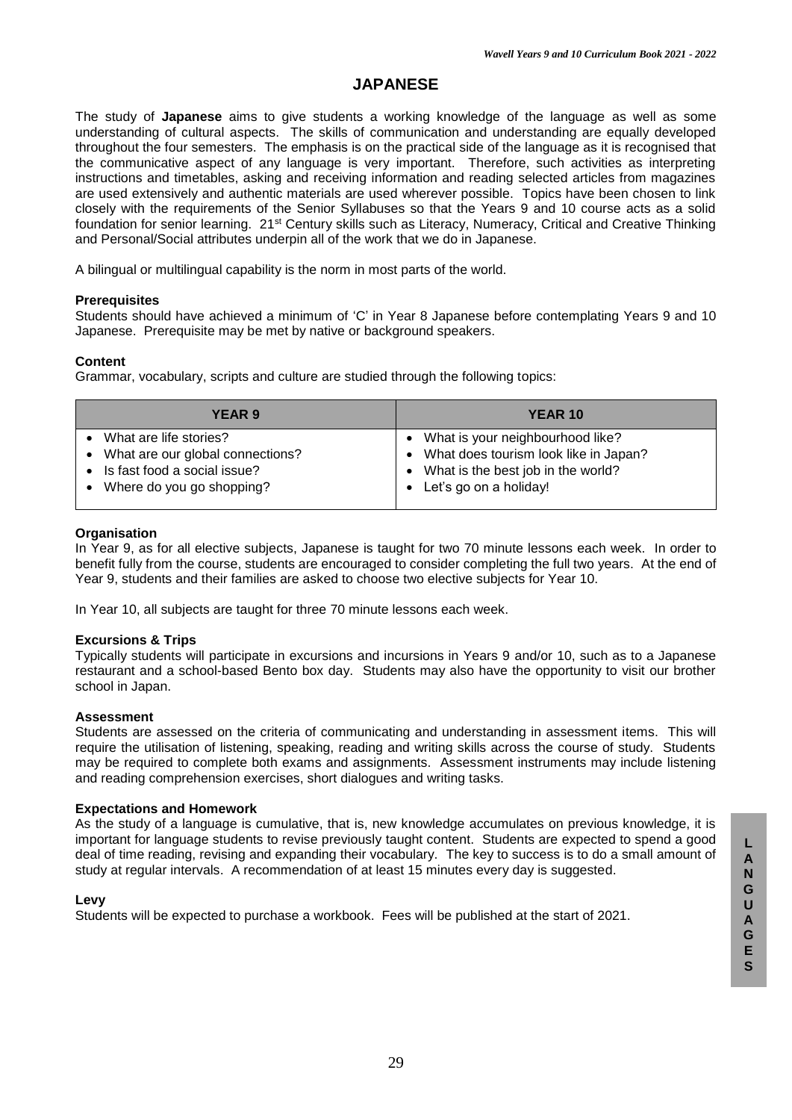# **JAPANESE**

The study of **Japanese** aims to give students a working knowledge of the language as well as some understanding of cultural aspects. The skills of communication and understanding are equally developed throughout the four semesters. The emphasis is on the practical side of the language as it is recognised that the communicative aspect of any language is very important. Therefore, such activities as interpreting instructions and timetables, asking and receiving information and reading selected articles from magazines are used extensively and authentic materials are used wherever possible. Topics have been chosen to link closely with the requirements of the Senior Syllabuses so that the Years 9 and 10 course acts as a solid foundation for senior learning. 21st Century skills such as Literacy, Numeracy, Critical and Creative Thinking and Personal/Social attributes underpin all of the work that we do in Japanese.

A bilingual or multilingual capability is the norm in most parts of the world.

### **Prerequisites**

Students should have achieved a minimum of 'C' in Year 8 Japanese before contemplating Years 9 and 10 Japanese. Prerequisite may be met by native or background speakers.

### **Content**

Grammar, vocabulary, scripts and culture are studied through the following topics:

| YEAR 9                                                                                                                    | <b>YEAR 10</b>                                                                                                                                  |
|---------------------------------------------------------------------------------------------------------------------------|-------------------------------------------------------------------------------------------------------------------------------------------------|
| What are life stories?<br>What are our global connections?<br>Is fast food a social issue?<br>• Where do you go shopping? | What is your neighbourhood like?<br>• What does tourism look like in Japan?<br>• What is the best job in the world?<br>• Let's go on a holiday! |
|                                                                                                                           |                                                                                                                                                 |

### **Organisation**

In Year 9, as for all elective subjects, Japanese is taught for two 70 minute lessons each week. In order to benefit fully from the course, students are encouraged to consider completing the full two years. At the end of Year 9, students and their families are asked to choose two elective subjects for Year 10.

In Year 10, all subjects are taught for three 70 minute lessons each week.

### **Excursions & Trips**

Typically students will participate in excursions and incursions in Years 9 and/or 10, such as to a Japanese restaurant and a school-based Bento box day. Students may also have the opportunity to visit our brother school in Japan.

### **Assessment**

Students are assessed on the criteria of communicating and understanding in assessment items. This will require the utilisation of listening, speaking, reading and writing skills across the course of study. Students may be required to complete both exams and assignments. Assessment instruments may include listening and reading comprehension exercises, short dialogues and writing tasks.

### **Expectations and Homework**

As the study of a language is cumulative, that is, new knowledge accumulates on previous knowledge, it is important for language students to revise previously taught content. Students are expected to spend a good deal of time reading, revising and expanding their vocabulary. The key to success is to do a small amount of study at regular intervals. A recommendation of at least 15 minutes every day is suggested.

### **Levy**

Students will be expected to purchase a workbook. Fees will be published at the start of 2021.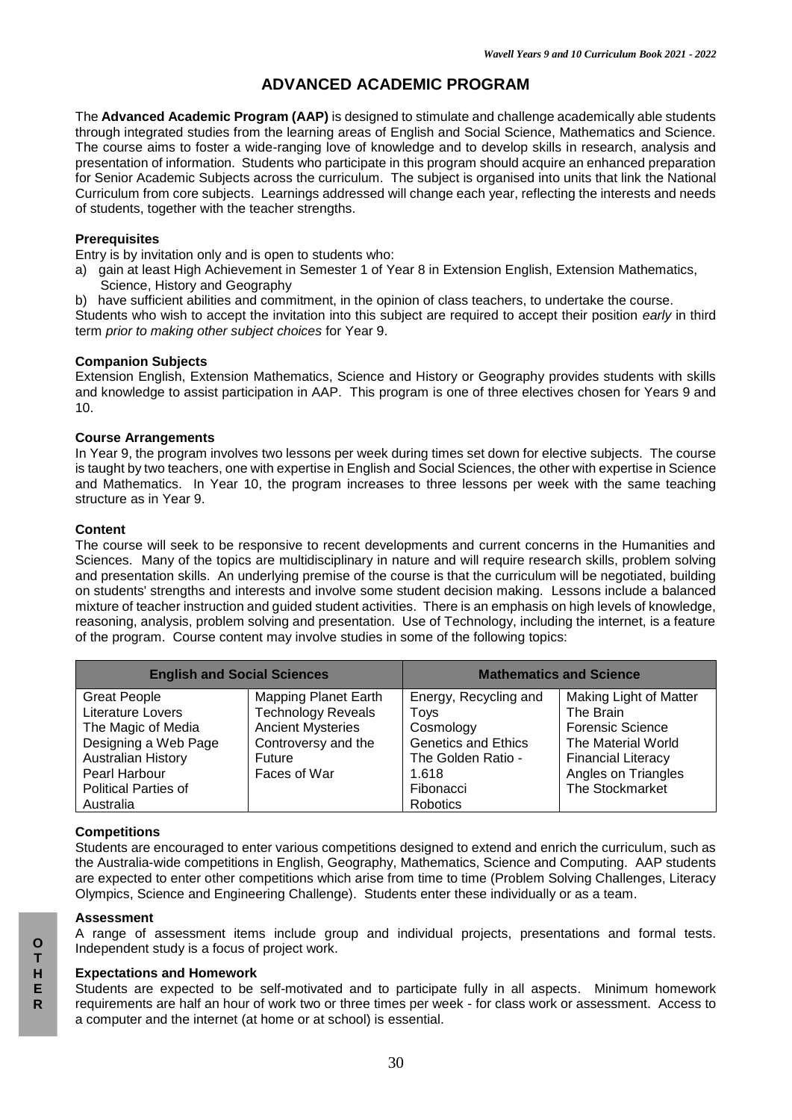# **ADVANCED ACADEMIC PROGRAM**

The **Advanced Academic Program (AAP)** is designed to stimulate and challenge academically able students through integrated studies from the learning areas of English and Social Science, Mathematics and Science. The course aims to foster a wide-ranging love of knowledge and to develop skills in research, analysis and presentation of information. Students who participate in this program should acquire an enhanced preparation for Senior Academic Subjects across the curriculum. The subject is organised into units that link the National Curriculum from core subjects. Learnings addressed will change each year, reflecting the interests and needs of students, together with the teacher strengths.

### **Prerequisites**

Entry is by invitation only and is open to students who:

- a) gain at least High Achievement in Semester 1 of Year 8 in Extension English, Extension Mathematics, Science, History and Geography
- b) have sufficient abilities and commitment, in the opinion of class teachers, to undertake the course.

Students who wish to accept the invitation into this subject are required to accept their position *early* in third term *prior to making other subject choices* for Year 9.

#### **Companion Subjects**

Extension English, Extension Mathematics, Science and History or Geography provides students with skills and knowledge to assist participation in AAP. This program is one of three electives chosen for Years 9 and 10.

### **Course Arrangements**

In Year 9, the program involves two lessons per week during times set down for elective subjects. The course is taught by two teachers, one with expertise in English and Social Sciences, the other with expertise in Science and Mathematics. In Year 10, the program increases to three lessons per week with the same teaching structure as in Year 9.

### **Content**

The course will seek to be responsive to recent developments and current concerns in the Humanities and Sciences. Many of the topics are multidisciplinary in nature and will require research skills, problem solving and presentation skills. An underlying premise of the course is that the curriculum will be negotiated, building on students' strengths and interests and involve some student decision making. Lessons include a balanced mixture of teacher instruction and guided student activities. There is an emphasis on high levels of knowledge, reasoning, analysis, problem solving and presentation. Use of Technology, including the internet, is a feature of the program. Course content may involve studies in some of the following topics:

| <b>English and Social Sciences</b>          |                             | <b>Mathematics and Science</b> |                           |  |
|---------------------------------------------|-----------------------------|--------------------------------|---------------------------|--|
| <b>Great People</b>                         | <b>Mapping Planet Earth</b> | Energy, Recycling and          | Making Light of Matter    |  |
| <b>Literature Lovers</b>                    | <b>Technology Reveals</b>   | Toys                           | The Brain                 |  |
| The Magic of Media                          | <b>Ancient Mysteries</b>    | Cosmology                      | <b>Forensic Science</b>   |  |
| Designing a Web Page<br>Controversy and the |                             | <b>Genetics and Ethics</b>     | The Material World        |  |
| <b>Australian History</b>                   | Future                      | The Golden Ratio -             | <b>Financial Literacy</b> |  |
| Pearl Harbour                               | Faces of War                | 1.618                          | Angles on Triangles       |  |
| <b>Political Parties of</b>                 |                             | Fibonacci                      | The Stockmarket           |  |
| Australia                                   |                             | Robotics                       |                           |  |

### **Competitions**

Students are encouraged to enter various competitions designed to extend and enrich the curriculum, such as the Australia-wide competitions in English, Geography, Mathematics, Science and Computing. AAP students are expected to enter other competitions which arise from time to time (Problem Solving Challenges, Literacy Olympics, Science and Engineering Challenge). Students enter these individually or as a team.

#### **Assessment**

A range of assessment items include group and individual projects, presentations and formal tests. Independent study is a focus of project work.

#### **Expectations and Homework**

Students are expected to be self-motivated and to participate fully in all aspects. Minimum homework requirements are half an hour of work two or three times per week - for class work or assessment. Access to a computer and the internet (at home or at school) is essential.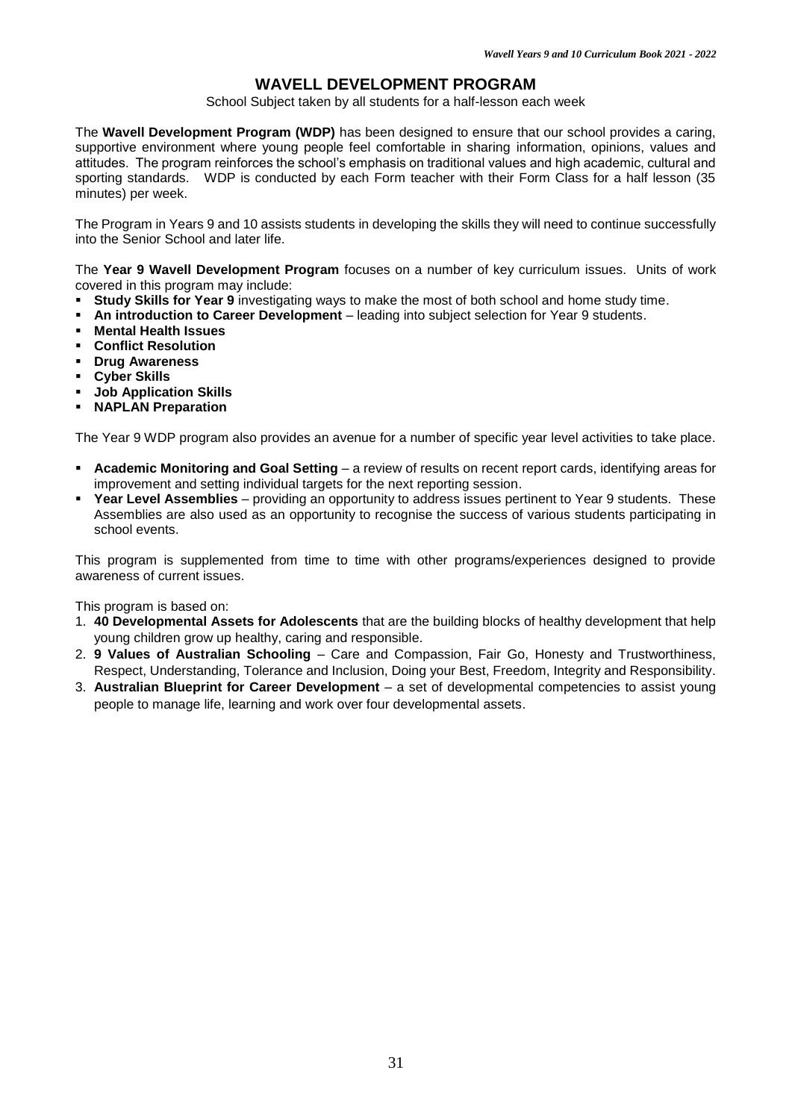### **WAVELL DEVELOPMENT PROGRAM**

School Subject taken by all students for a half-lesson each week

The **Wavell Development Program (WDP)** has been designed to ensure that our school provides a caring, supportive environment where young people feel comfortable in sharing information, opinions, values and attitudes. The program reinforces the school's emphasis on traditional values and high academic, cultural and sporting standards. WDP is conducted by each Form teacher with their Form Class for a half lesson (35 minutes) per week.

The Program in Years 9 and 10 assists students in developing the skills they will need to continue successfully into the Senior School and later life.

The **Year 9 Wavell Development Program** focuses on a number of key curriculum issues. Units of work covered in this program may include:

- **Study Skills for Year 9** investigating ways to make the most of both school and home study time.
- **An introduction to Career Development** leading into subject selection for Year 9 students.
- **Mental Health Issues**
- **Conflict Resolution**
- **Drug Awareness**
- **Cyber Skills**
- **Job Application Skills**
- **NAPLAN Preparation**

The Year 9 WDP program also provides an avenue for a number of specific year level activities to take place.

- **Academic Monitoring and Goal Setting** a review of results on recent report cards, identifying areas for improvement and setting individual targets for the next reporting session.
- **Year Level Assemblies** providing an opportunity to address issues pertinent to Year 9 students. These Assemblies are also used as an opportunity to recognise the success of various students participating in school events.

This program is supplemented from time to time with other programs/experiences designed to provide awareness of current issues.

This program is based on:

- 1. **40 Developmental Assets for Adolescents** that are the building blocks of healthy development that help young children grow up healthy, caring and responsible.
- 2. **9 Values of Australian Schooling** Care and Compassion, Fair Go, Honesty and Trustworthiness, Respect, Understanding, Tolerance and Inclusion, Doing your Best, Freedom, Integrity and Responsibility.
- 3. **Australian Blueprint for Career Development** a set of developmental competencies to assist young people to manage life, learning and work over four developmental assets.